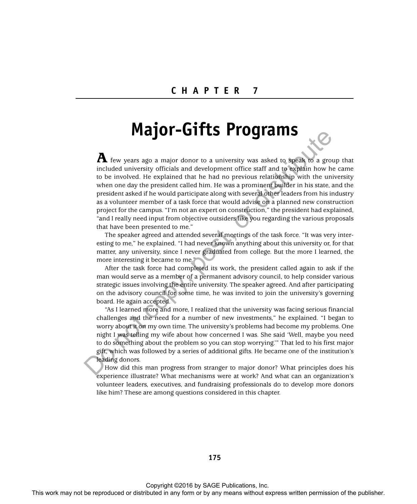# **Major-Gifts Programs**

**A** few years ago a major donor to a university was asked to speak to a group that included university officials and development office staff and to explain how he came to be involved. He explained that he had no previous relationship with the university when one day the president called him. He was a prominent builder in his state, and the president asked if he would participate along with several other leaders from his industry as a volunteer member of a task force that would advise on a planned new construction project for the campus. "I'm not an expert on construction," the president had explained, "and I really need input from objective outsiders like you regarding the various proposals that have been presented to me." THOLYTHES THUSHERS WE ARREST WARD THE CONTROL CONTROL CONTROL CONTROL CONTROL CONTROL CONTROL CONTROL CONTROL CONTROL CONTROL CONTROL CONTROL CONTROL CONTROL CONTROL CONTROL CONTROL CONTROL CONTROL CONTROL CONTROL CONTROL

The speaker agreed and attended several meetings of the task force. "It was very interesting to me," he explained. "I had never known anything about this university or, for that matter, any university, since I never graduated from college. But the more I learned, the more interesting it became to me."

After the task force had completed its work, the president called again to ask if the man would serve as a member of a permanent advisory council, to help consider various strategic issues involving the entire university. The speaker agreed. And after participating on the advisory council for some time, he was invited to join the university's governing board. He again accepted.

"As I learned more and more, I realized that the university was facing serious financial challenges and the need for a number of new investments," he explained. "I began to worry about it on my own time. The university's problems had become my problems. One night I was telling my wife about how concerned I was. She said 'Well, maybe you need to do something about the problem so you can stop worrying.'" That led to his first major gift, which was followed by a series of additional gifts. He became one of the institution's leading donors.

How did this man progress from stranger to major donor? What principles does his experience illustrate? What mechanisms were at work? And what can an organization's volunteer leaders, executives, and fundraising professionals do to develop more donors like him? These are among questions considered in this chapter.

**175**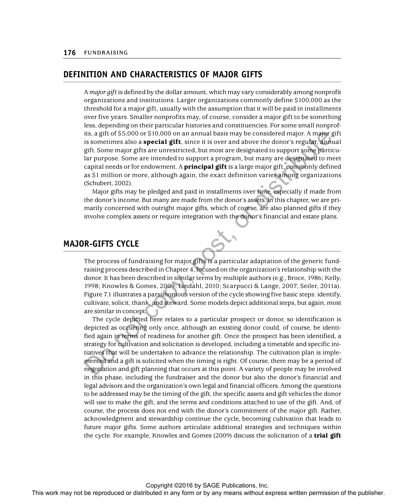## **DEFINITION AND CHARACTERISTICS OF MAJOR GIFTS**

A *major gift* is defined by the dollar amount, which may vary considerably among nonprofit organizations and institutions. Larger organizations commonly define \$100,000 as the threshold for a major gift, usually with the assumption that it will be paid in installments over five years. Smaller nonprofits may, of course, consider a major gift to be something less, depending on their particular histories and constituencies. For some small nonprofits, a gift of \$5,000 or \$10,000 on an annual basis may be considered major. A major gift is sometimes also a **special gift**, since it is over and above the donor's regular, annual gift. Some major gifts are unrestricted, but most are designated to support some particular purpose. Some are intended to support a program, but many are designated to meet capital needs or for endowment. A **principal gift** is a large major gift, commonly defined as \$1 million or more, although again, the exact definition varies among organizations (Schubert, 2002).

Major gifts may be pledged and paid in installments over time, especially if made from the donor's income. But many are made from the donor's assets. In this chapter, we are primarily concerned with outright major gifts, which of course, are also planned gifts if they involve complex assets or require integration with the donor's financial and estate plans.

## **MAJOR-GIFTS CYCLE**

The process of fundraising for major gifts is a particular adaptation of the generic fundraising process described in Chapter 4, focused on the organization's relationship with the donor. It has been described in similar terms by multiple authors (e.g., Broce, 1986; Kelly, 1998; Knowles & Gomes, 2009; Lindahl, 2010; Scarpucci & Lange, 2007; Seiler, 2011a). Figure 7.1 illustrates a parsimonious version of the cycle showing five basic steps: identify, cultivate, solicit, thank, and steward. Some models depict additional steps, but again, most are similar in concept.

The cycle depicted here relates to a particular prospect or donor, so identification is depicted as occurring only once, although an existing donor could, of course, be identified again in terms of readiness for another gift. Once the prospect has been identified, a strategy for cultivation and solicitation is developed, including a timetable and specific initiatives that will be undertaken to advance the relationship. The cultivation plan is implemented and a gift is solicited when the timing is right. Of course, there may be a period of negotiation and gift planning that occurs at this point. A variety of people may be involved in this phase, including the fundraiser and the donor but also the donor's financial and legal advisors and the organization's own legal and financial officers. Among the questions to be addressed may be the timing of the gift, the specific assets and gift vehicles the donor will use to make the gift, and the terms and conditions attached to use of the gift. And, of course, the process does not end with the donor's commitment of the major gift. Rather, acknowledgment and stewardship continue the cycle, becoming cultivation that leads to future major gifts. Some authors articulate additional strategies and techniques within the cycle. For example, Knowles and Gomes (2009) discuss the solicitation of a **trial gift** is a. git in 6 55,000 is contour annual basis may be combined insign of the solution of the solution of the publisher. A may git is a content and designated to support any form or poster and designated to support any mean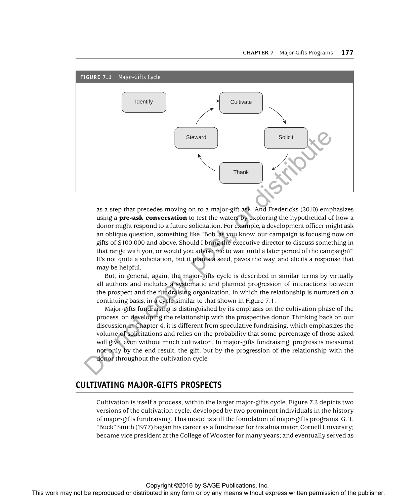

as a step that precedes moving on to a major-gift ask. And Fredericks (2010) emphasizes using a **pre-ask conversation** to test the waters by exploring the hypothetical of how a donor might respond to a future solicitation. For example, a development officer might ask an oblique question, something like "Bob, as you know, our campaign is focusing now on gifts of \$100,000 and above. Should I bring the executive director to discuss something in that range with you, or would you advise me to wait until a later period of the campaign?" It's not quite a solicitation, but it plants a seed, paves the way, and elicits a response that may be helpful.

But, in general, again, the major-gifts cycle is described in similar terms by virtually all authors and includes a systematic and planned progression of interactions between the prospect and the fundraising organization, in which the relationship is nurtured on a continuing basis, in a cycle similar to that shown in Figure 7.1.

Major-gifts fundraising is distinguished by its emphasis on the cultivation phase of the process, on developing the relationship with the prospective donor. Thinking back on our discussion in Chapter 4, it is different from speculative fundraising, which emphasizes the volume of solicitations and relies on the probability that some percentage of those asked will give, even without much cultivation. In major-gifts fundraising, progress is measured not only by the end result, the gift, but by the progression of the relationship with the donor throughout the cultivation cycle.

### **CULTIVATING MAJOR-GIFTS PROSPECTS**

Cultivation is itself a process, within the larger major-gifts cycle. Figure 7.2 depicts two versions of the cultivation cycle, developed by two prominent individuals in the history of major-gifts fundraising. This model is still the foundation of major-gifts programs. G. T. "Buck" Smith (1977) began his career as a fundraiser for his alma mater, Cornell University; became vice president at the College of Wooster for many years; and eventually served as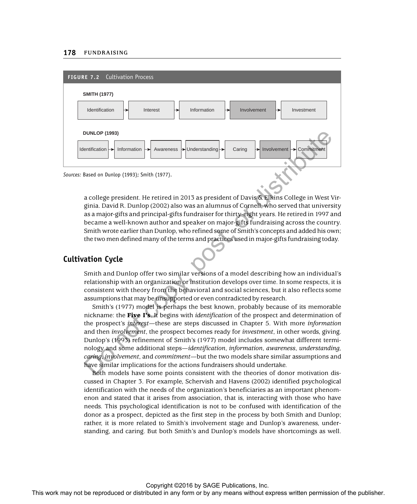#### **178 FUNDRAISING**



*Sources:* Based on Dunlop (1993); Smith (1977).

a college president. He retired in 2013 as president of Davis & Elkins College in West Virginia. David R. Dunlop (2002) also was an alumnus of Cornell, who served that university as a major-gifts and principal-gifts fundraiser for thirty-eight years. He retired in 1997 and became a well-known author and speaker on major-gifts fundraising across the country. Smith wrote earlier than Dunlop, who refined some of Smith's concepts and added his own; the two men defined many of the terms and practices used in major-gifts fundraising today.

#### **Cultivation Cycle**

Smith and Dunlop offer two similar versions of a model describing how an individual's relationship with an organization or institution develops over time. In some respects, it is consistent with theory from the behavioral and social sciences, but it also reflects some assumptions that may be unsupported or even contradicted by research.

Smith's (1977) model is perhaps the best known, probably because of its memorable nickname: the **Five I's**. It begins with *identification* of the prospect and determination of the prospect's *interest—*these are steps discussed in Chapter 5. With more *information* and then *involvement*, the prospect becomes ready for *investment*, in other words, giving. Dunlop's (1993) refinement of Smith's (1977) model includes somewhat different terminology and some additional steps—*identification*, *information*, *awareness*, *understanding, caring*, *involvement*, and *commitment*—but the two models share similar assumptions and have similar implications for the actions fundraisers should undertake. This work may not be reproduced or distributed in any form or by any means which are also the reproduced in any form or by any means which are also press without a security and the publisher. And the publisher or may not

Both models have some points consistent with the theories of donor motivation discussed in Chapter 3. For example, Schervish and Havens (2002) identified psychological identification with the needs of the organization's beneficiaries as an important phenomenon and stated that it arises from association, that is, interacting with those who have needs. This psychological identification is not to be confused with identification of the donor as a prospect, depicted as the first step in the process by both Smith and Dunlop; rather, it is more related to Smith's involvement stage and Dunlop's awareness, understanding, and caring. But both Smith's and Dunlop's models have shortcomings as well.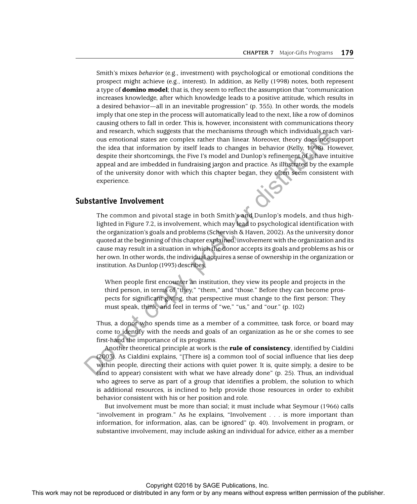Smith's mixes *behavior* (e.g., investment) with psychological or emotional conditions the prospect might achieve (e.g., interest). In addition, as Kelly (1998) notes, both represent a type of **domino model**; that is, they seem to reflect the assumption that "communication increases knowledge, after which knowledge leads to a positive attitude, which results in a desired behavior—all in an inevitable progression" (p. 355). In other words, the models imply that one step in the process will automatically lead to the next, like a row of dominos causing others to fall in order. This is, however, inconsistent with communications theory and research, which suggests that the mechanisms through which individuals reach various emotional states are complex rather than linear. Moreover, theory does not support the idea that information by itself leads to changes in behavior (Kelly, 1998). However, despite their shortcomings, the Five I's model and Dunlop's refinement of it have intuitive appeal and are imbedded in fundraising jargon and practice. As illustrated by the example of the university donor with which this chapter began, they often seem consistent with experience.

#### **Substantive Involvement**

The common and pivotal stage in both Smith's and Dunlop's models, and thus highlighted in Figure 7.2, is involvement, which may lead to psychological identification with the organization's goals and problems (Schervish & Haven, 2002). As the university donor quoted at the beginning of this chapter explained, involvement with the organization and its cause may result in a situation in which the donor accepts its goals and problems as his or her own. In other words, the individual acquires a sense of ownership in the organization or institution. As Dunlop (1993) describes,

When people first encounter an institution, they view its people and projects in the third person, in terms of "they," "them," and "those." Before they can become prospects for significant giving, that perspective must change to the first person: They must speak, think, and feel in terms of "we," "us," and "our." (p. 102)

Thus, a donor who spends time as a member of a committee, task force, or board may come to identify with the needs and goals of an organization as he or she comes to see first-hand the importance of its programs.

Another theoretical principle at work is the **rule of consistency**, identified by Cialdini (2003). As Cialdini explains, "[There is] a common tool of social influence that lies deep within people, directing their actions with quiet power. It is, quite simply, a desire to be (and to appear) consistent with what we have already done" (p. 25). Thus, an individual who agrees to serve as part of a group that identifies a problem, the solution to which is additional resources, is inclined to help provide those resources in order to exhibit behavior consistent with his or her position and role. ano. So the reproduced or distributed in the publisher and the reproduced or distributed in the reproduced or distributed in the reproduced or distributed in the reproduced or distributed in the publisher beginning to the

But involvement must be more than social; it must include what Seymour (1966) calls "involvement in program." As he explains, "Involvement . . . is more important than information, for information, alas, can be ignored" (p. 40). Involvement in program, or substantive involvement, may include asking an individual for advice, either as a member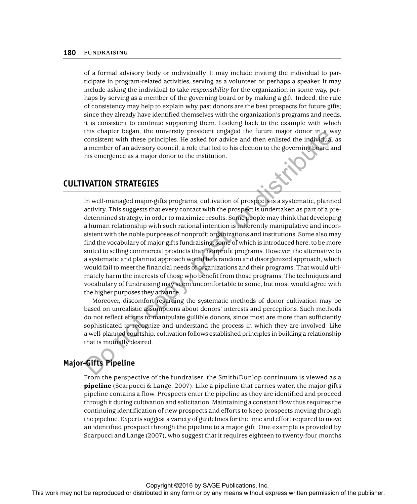of a formal advisory body or individually. It may include inviting the individual to participate in program-related activities, serving as a volunteer or perhaps a speaker. It may include asking the individual to take *responsibility* for the organization in some way, perhaps by serving as a member of the governing board or by making a gift. Indeed, the rule of consistency may help to explain why past donors are the best prospects for future gifts; since they already have identified themselves with the organization's programs and needs, it is consistent to continue supporting them. Looking back to the example with which this chapter began, the university president engaged the future major donor in a way consistent with these principles. He asked for advice and then enlisted the individual as a member of an advisory council, a role that led to his election to the governing board and his emergence as a major donor to the institution.

#### **CULTIVATION STRATEGIES**

In well-managed major-gifts programs, cultivation of prospects is a systematic, planned activity. This suggests that every contact with the prospect is undertaken as part of a predetermined strategy, in order to maximize results. Some people may think that developing a human relationship with such rational intention is inherently manipulative and inconsistent with the noble purposes of nonprofit organizations and institutions. Some also may find the vocabulary of major-gifts fundraising, some of which is introduced here, to be more suited to selling commercial products than nonprofit programs. However, the alternative to a systematic and planned approach would be a random and disorganized approach, which would fail to meet the financial needs of organizations and their programs. That would ultimately harm the interests of those who benefit from those programs. The techniques and vocabulary of fundraising may seem uncomfortable to some, but most would agree with the higher purposes they advance. This work may not be reproduced or the systems with the representation of the publisher or the publisher or distributed in any form or by any means which are the publisher of the publisher. This was not be the publisher of

Moreover, discomfort regarding the systematic methods of donor cultivation may be based on unrealistic assumptions about donors' interests and perceptions. Such methods do not reflect efforts to manipulate gullible donors, since most are more than sufficiently sophisticated to recognize and understand the process in which they are involved. Like a well-planned courtship, cultivation follows established principles in building a relationship that is mutually desired.

## **Major-Gifts Pipeline**

From the perspective of the fundraiser, the Smith/Dunlop continuum is viewed as a **pipeline** (Scarpucci & Lange, 2007). Like a pipeline that carries water, the major-gifts pipeline contains a flow. Prospects enter the pipeline as they are identified and proceed through it during cultivation and solicitation. Maintaining a constant flow thus requires the continuing identification of new prospects and efforts to keep prospects moving through the pipeline. Experts suggest a variety of guidelines for the time and effort required to move an identified prospect through the pipeline to a major gift. One example is provided by Scarpucci and Lange (2007), who suggest that it requires eighteen to twenty-four months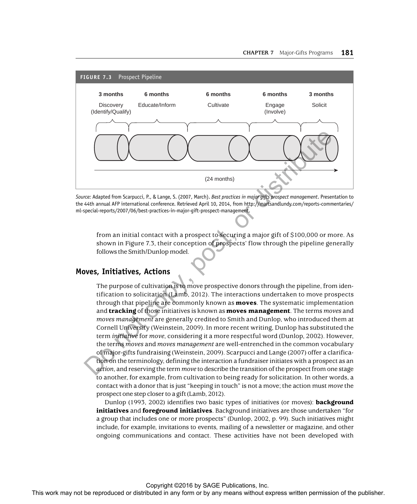

*Source:* Adapted from Scarpucci, P., & Lange, S. (2007, March). *Best practices in major gifts prospect management*. Presentation to the 44th annual AFP international conference. Retrieved April 10, 2014, from http://martsandlundy.com/reports-commentaries/ ml-special-reports/2007/06/best-practices-in-major-gift-prospect-management.

from an initial contact with a prospect to securing a major gift of \$100,000 or more. As shown in Figure 7.3, their conception of prospects' flow through the pipeline generally follows the Smith/Dunlop model.

#### **Moves, Initiatives, Actions**

The purpose of cultivation is to move prospective donors through the pipeline, from identification to solicitation (Lamb, 2012). The interactions undertaken to move prospects through that pipeline are commonly known as **moves**. The systematic implementation and **tracking** of those initiatives is known as **moves management**. The terms *moves* and *moves management* are generally credited to Smith and Dunlop, who introduced them at Cornell University (Weinstein, 2009). In more recent writing, Dunlop has substituted the term *initiative* for *move*, considering it a more respectful word (Dunlop, 2002). However, the terms *moves* and *moves management* are well-entrenched in the common vocabulary of major-gifts fundraising (Weinstein, 2009). Scarpucci and Lange (2007) offer a clarification on the terminology, defining the interaction a fundraiser initiates with a prospect as an *action*, and reserving the term *move* to describe the transition of the prospect from one stage to another, for example, from cultivation to being ready for solicitation. In other words, a contact with a donor that is just "keeping in touch" is not a move; the action must *move* the prospect one step closer to a gift (Lamb, 2012). **The reproduced or distributed in any means when the reproduced or the publisher may not be reproduced in any means when**  $\alpha$  **any means when**  $\alpha$  **any**  $\alpha$  **any**  $\alpha$  **any**  $\alpha$  **any**  $\alpha$  **any**  $\alpha$  **any**  $\alpha$  **any**  $\alpha$  **any**  $\alpha$  **any** 

Dunlop (1993, 2002) identifies two basic types of initiatives (or moves): **background initiatives** and **foreground initiatives**. Background initiatives are those undertaken "for a group that includes one or more prospects" (Dunlop, 2002, p. 99). Such initiatives might include, for example, invitations to events, mailing of a newsletter or magazine, and other ongoing communications and contact. These activities have not been developed with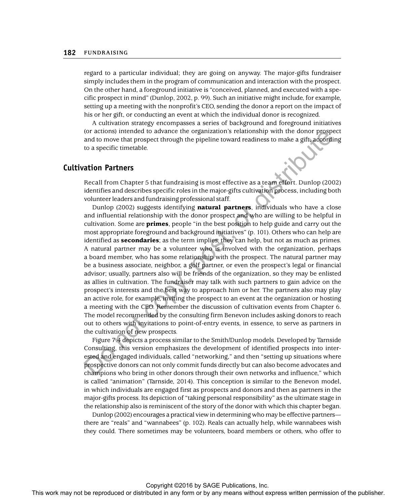regard to a particular individual; they are going on anyway. The major-gifts fundraiser simply includes them in the program of communication and interaction with the prospect. On the other hand, a foreground initiative is "conceived, planned, and executed with a specific prospect in mind" (Dunlop, 2002, p. 99). Such an initiative might include, for example, setting up a meeting with the nonprofit's CEO, sending the donor a report on the impact of his or her gift, or conducting an event at which the individual donor is recognized.

A cultivation strategy encompasses a series of background and foreground initiatives (or actions) intended to advance the organization's relationship with the donor prospect and to move that prospect through the pipeline toward readiness to make a gift, according to a specific timetable.

#### **Cultivation Partners**

Recall from Chapter 5 that fundraising is most effective as a team effort. Dunlop (2002) identifies and describes specific roles in the major-gifts cultivation process, including both volunteer leaders and fundraising professional staff.

Dunlop (2002) suggests identifying **natural partners**, individuals who have a close and influential relationship with the donor prospect and who are willing to be helpful in cultivation. Some are **primes**, people "in the best position to help guide and carry out the most appropriate foreground and background initiatives" (p. 101). Others who can help are identified as **secondaries**; as the term implies, they can help, but not as much as primes. A natural partner may be a volunteer who is involved with the organization, perhaps a board member, who has some relationship with the prospect. The natural partner may be a business associate, neighbor, a golf partner, or even the prospect's legal or financial advisor; usually, partners also will be friends of the organization, so they may be enlisted as allies in cultivation. The fundraiser may talk with such partners to gain advice on the prospect's interests and the best way to approach him or her. The partners also may play an active role, for example, inviting the prospect to an event at the organization or hosting a meeting with the CEO. Remember the discussion of cultivation events from Chapter 6. The model recommended by the consulting firm Benevon includes asking donors to reach out to others with invitations to point-of-entry events, in essence, to serve as partners in the cultivation of new prospects. or a conservation of the reproduced or distributed in any form or by any means when  $\alpha$  be reproduced or the reproduced or the reproduced or the reproduced in any form or by any means when the reproduced in a specific te

Figure 7.4 depicts a process similar to the Smith/Dunlop models. Developed by Tarnside Consulting, this version emphasizes the development of identified prospects into interested and engaged individuals, called "networking," and then "setting up situations where prospective donors can not only commit funds directly but can also become advocates and champions who bring in other donors through their own networks and influence," which is called "animation" (Tarnside, 2014). This conception is similar to the Benevon model, in which individuals are engaged first as prospects and donors and then as partners in the major-gifts process. Its depiction of "taking personal responsibility" as the ultimate stage in the relationship also is reminiscent of the story of the donor with which this chapter began.

Dunlop (2002) encourages a practical view in determining who may be effective partners there are "reals" and "wannabees" (p. 102). Reals can actually help, while wannabees wish they could. There sometimes may be volunteers, board members or others, who offer to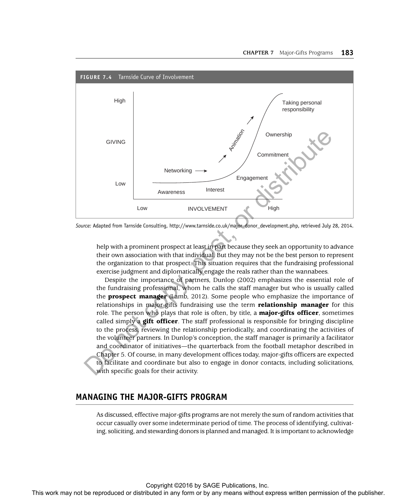

*Source:* Adapted from Tarnside Consulting, http://www.tarnside.co.uk/major\_donor\_development.php, retrieved July 28, 2014.

help with a prominent prospect at least in part because they seek an opportunity to advance their own association with that individual. But they may not be the best person to represent the organization to that prospect. This situation requires that the fundraising professional exercise judgment and diplomatically engage the reals rather than the wannabees.

Despite the importance of partners, Dunlop (2002) emphasizes the essential role of the fundraising professional, whom he calls the staff manager but who is usually called the **prospect manager** (Lamb, 2012). Some people who emphasize the importance of relationships in major-gifts fundraising use the term **relationship manager** for this role. The person who plays that role is often, by title, a **major-gifts officer**, sometimes called simply a **gift officer**. The staff professional is responsible for bringing discipline to the process, reviewing the relationship periodically, and coordinating the activities of the volunteer partners. In Dunlop's conception, the staff manager is primarily a facilitator and coordinator of initiatives—the quarterback from the football metaphor described in Chapter 5. Of course, in many development offices today, major-gifts officers are expected to facilitate and coordinate but also to engage in donor contacts, including solicitations, with specific goals for their activity.

## **MANAGING THE MAJOR-GIFTS PROGRAM**

As discussed, effective major-gifts programs are not merely the sum of random activities that occur casually over some indeterminate period of time. The process of identifying, cultivating, soliciting, and stewarding donors is planned and managed. It is important to acknowledge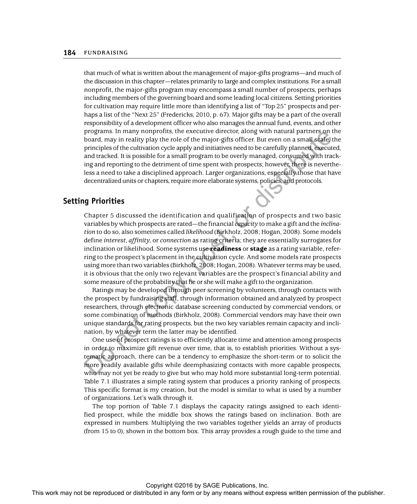that much of what is written about the management of major-gifts programs—and much of the discussion in this chapter—relates primarily to large and complex institutions. For a small nonprofit, the major-gifts program may encompass a small number of prospects, perhaps including members of the governing board and some leading local citizens. Setting priorities for cultivation may require little more than identifying a list of "Top 25" prospects and perhaps a list of the "Next 25" (Fredericks, 2010, p. 67). Major gifts may be a part of the overall responsibility of a development officer who also manages the annual fund, events, and other programs. In many nonprofits, the executive director, along with natural partners on the board, may in reality play the role of the major-gifts officer. But even on a small scale, the principles of the cultivation cycle apply and initiatives need to be carefully planned, executed, and tracked. It is possible for a small program to be overly managed, consumed with tracking and reporting to the detriment of time spent with prospects; however, there is nevertheless a need to take a disciplined approach. Larger organizations, especially those that have decentralized units or chapters, require more elaborate systems, policies, and protocols.

#### **Setting Priorities**

Chapter 5 discussed the identification and qualification of prospects and two basic variables by which prospects are rated—the financial *capacity* to make a gift and the *inclination* to do so, also sometimes called *likelihood* (Birkholz, 2008; Hogan, 2008). Some models define *interest*, *affinity*, or *connection* as rating criteria; they are essentially surrogates for inclination or likelihood. Some systems use **readiness** or **stage** as a rating variable, referring to the prospect's placement in the cultivation cycle. And some models rate prospects using more than two variables (Birkholz, 2008; Hogan, 2008). Whatever terms may be used, it is obvious that the only two relevant variables are the prospect's financial ability and some measure of the probability that he or she will make a gift to the organization. pograms. In finity according to the research of the range of the state and the range of the range of the range of the range of the range of the range of the range of the range of the range of the range of the range of the

Ratings may be developed through peer screening by volunteers, through contacts with the prospect by fundraising staff, through information obtained and analyzed by prospect researchers, through electronic database screening conducted by commercial vendors, or some combination of methods (Birkholz, 2008). Commercial vendors may have their own unique standards for rating prospects, but the two key variables remain capacity and inclination, by whatever term the latter may be identified.

One use of prospect ratings is to efficiently allocate time and attention among prospects in order to maximize gift revenue over time, that is, to establish priorities. Without a systematic approach, there can be a tendency to emphasize the short-term or to solicit the more readily available gifts while deemphasizing contacts with more capable prospects, who may not yet be ready to give but who may hold more substantial long-term potential. Table 7.1 illustrates a simple rating system that produces a priority ranking of prospects. This specific format is my creation, but the model is similar to what is used by a number of organizations. Let's walk through it.

The top portion of Table 7.1 displays the capacity ratings assigned to each identified prospect, while the middle box shows the ratings based on inclination. Both are expressed in numbers. Multiplying the two variables together yields an array of products (from 15 to 0), shown in the bottom box. This array provides a rough guide to the time and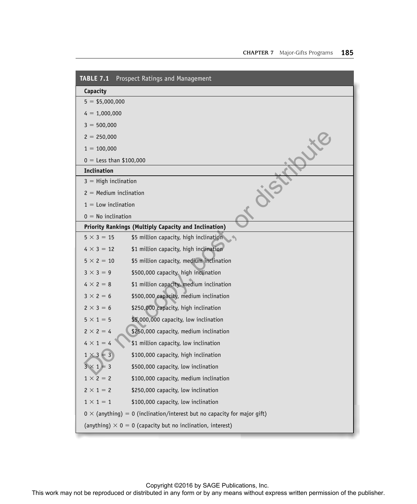| $4 = 1,000,000$           |                                                                                 |
|---------------------------|---------------------------------------------------------------------------------|
| $3 = 500,000$             |                                                                                 |
| $2 = 250,000$             |                                                                                 |
| $1 = 100,000$             |                                                                                 |
| $0 =$ Less than \$100,000 |                                                                                 |
| Inclination               |                                                                                 |
| $3 =$ High inclination    |                                                                                 |
| $2 =$ Medium inclination  |                                                                                 |
| $1 =$ Low inclination     |                                                                                 |
| $0 = No$ inclination      |                                                                                 |
|                           | Priority Rankings (Multiply Capacity and Inclination)                           |
| $5 \times 3 = 15$         | \$5 million capacity, high inclination                                          |
| $4 \times 3 = 12$         | \$1 million capacity, high inclination                                          |
| $5 \times 2 = 10$         | \$5 million capacity, medium inclination                                        |
| $3 \times 3 = 9$          | \$500,000 capacity, high inclination                                            |
| $4 \times 2 = 8$          | \$1 million capacity, medium inclination                                        |
| $3 \times 2 = 6$          | \$500,000 capacity, medium inclination                                          |
| $2 \times 3 = 6$          | \$250,000 capacity, high inclination                                            |
| $5 \times 1 = 5$          | \$5,000,000 capacity, low inclination                                           |
| $2 \times 2 = 4$          | \$250,000 capacity, medium inclination                                          |
| $4 \times 1 = 4$          | \$1 million capacity, low inclination                                           |
| $1 \times 3 = 3$          | \$100,000 capacity, high inclination                                            |
| $3 \times 1 = 3$          | \$500,000 capacity, low inclination                                             |
| $1 \times 2 = 2$          | \$100,000 capacity, medium inclination                                          |
| $2 \times 1 = 2$          | \$250,000 capacity, low inclination                                             |
| $1 \times 1 = 1$          | \$100,000 capacity, low inclination                                             |
|                           | $0 \times$ (anything) = 0 (inclination/interest but no capacity for major gift) |
|                           | (anything) $\times$ 0 = 0 (capacity but no inclination, interest)               |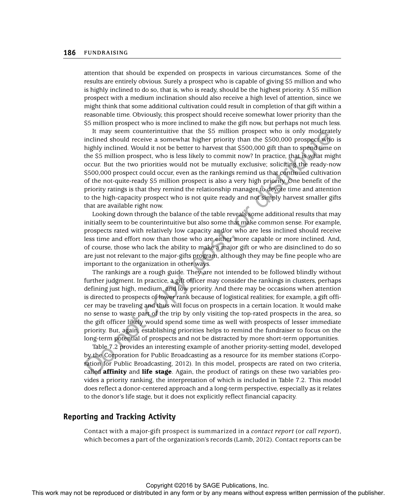attention that should be expended on prospects in various circumstances. Some of the results are entirely obvious. Surely a prospect who is capable of giving \$5 million and who is highly inclined to do so, that is, who is ready, should be the highest priority. A \$5 million prospect with a medium inclination should also receive a high level of attention, since we might think that some additional cultivation could result in completion of that gift within a reasonable time. Obviously, this prospect should receive somewhat lower priority than the \$5 million prospect who is more inclined to make the gift now, but perhaps not much less.

It may seem counterintuitive that the \$5 million prospect who is only moderately inclined should receive a somewhat higher priority than the \$500,000 prospect who is highly inclined. Would it not be better to harvest that \$500,000 gift than to spend time on the \$5 million prospect, who is less likely to commit now? In practice, that is what might occur. But the two priorities would not be mutually exclusive; soliciting the ready-now \$500,000 prospect could occur, even as the rankings remind us that continued cultivation of the not-quite-ready \$5 million prospect is also a very high priority. One benefit of the priority ratings is that they remind the relationship manager to devote time and attention to the high-capacity prospect who is not quite ready and not simply harvest smaller gifts that are available right now. This work may not be reproduced or the results of the results of the reproduced or the results of the results with the results of the results of the results of the results of the results of the results of the publisher of

Looking down through the balance of the table reveals some additional results that may initially seem to be counterintuitive but also some that make common sense. For example, prospects rated with relatively low capacity and/or who are less inclined should receive less time and effort now than those who are either more capable or more inclined. And, of course, those who lack the ability to make a major gift or who are disinclined to do so are just not relevant to the major-gifts program, although they may be fine people who are important to the organization in other ways.

The rankings are a rough guide. They are not intended to be followed blindly without further judgment. In practice, a gift officer may consider the rankings in clusters, perhaps defining just high, medium, and low priority. And there may be occasions when attention is directed to prospects of lower rank because of logistical realities; for example, a gift officer may be traveling and thus will focus on prospects in a certain location. It would make no sense to waste part of the trip by only visiting the top-rated prospects in the area, so the gift officer likely would spend some time as well with prospects of lesser immediate priority. But, again, establishing priorities helps to remind the fundraiser to focus on the long-term potential of prospects and not be distracted by more short-term opportunities.

Table 7.2 provides an interesting example of another priority-setting model, developed by the Corporation for Public Broadcasting as a resource for its member stations (Corporation for Public Broadcasting, 2012). In this model, prospects are rated on two criteria, called **affinity** and **life stage**. Again, the product of ratings on these two variables provides a priority ranking, the interpretation of which is included in Table 7.2. This model does reflect a donor-centered approach and a long-term perspective, especially as it relates to the donor's life stage, but it does not explicitly reflect financial capacity.

#### **Reporting and Tracking Activity**

Contact with a major-gift prospect is summarized in a *contact report* (or *call report*), which becomes a part of the organization's records (Lamb, 2012). Contact reports can be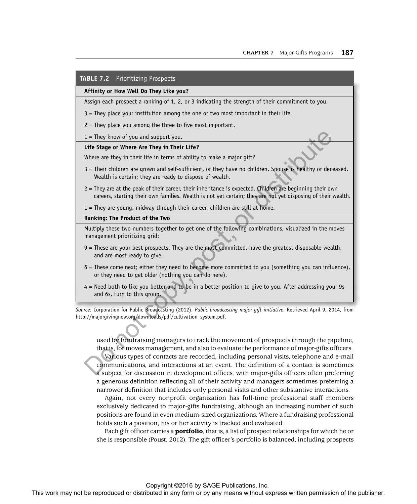| Assign each prospect a ranking of 1, 2, or 3 indicating the strength of their commitment to you.                                                                                                                                                                                                                                                                                                                                                                                                                                                                                                                                                                                                                                                                                                                                                                                                                                                             |
|--------------------------------------------------------------------------------------------------------------------------------------------------------------------------------------------------------------------------------------------------------------------------------------------------------------------------------------------------------------------------------------------------------------------------------------------------------------------------------------------------------------------------------------------------------------------------------------------------------------------------------------------------------------------------------------------------------------------------------------------------------------------------------------------------------------------------------------------------------------------------------------------------------------------------------------------------------------|
| $3$ = They place your institution among the one or two most important in their life.                                                                                                                                                                                                                                                                                                                                                                                                                                                                                                                                                                                                                                                                                                                                                                                                                                                                         |
| $2$ = They place you among the three to five most important.                                                                                                                                                                                                                                                                                                                                                                                                                                                                                                                                                                                                                                                                                                                                                                                                                                                                                                 |
| $1$ = They know of you and support you.                                                                                                                                                                                                                                                                                                                                                                                                                                                                                                                                                                                                                                                                                                                                                                                                                                                                                                                      |
| Life Stage or Where Are They in Their Life?                                                                                                                                                                                                                                                                                                                                                                                                                                                                                                                                                                                                                                                                                                                                                                                                                                                                                                                  |
| Where are they in their life in terms of ability to make a major gift?                                                                                                                                                                                                                                                                                                                                                                                                                                                                                                                                                                                                                                                                                                                                                                                                                                                                                       |
| 3 = Their children are grown and self-sufficient, or they have no children. Spouse is healthy or deceased.<br>Wealth is certain; they are ready to dispose of wealth.                                                                                                                                                                                                                                                                                                                                                                                                                                                                                                                                                                                                                                                                                                                                                                                        |
| 2 = They are at the peak of their career, their inheritance is expected. Children are beginning their own<br>careers, starting their own families. Wealth is not yet certain; they are not yet disposing of their wealth.                                                                                                                                                                                                                                                                                                                                                                                                                                                                                                                                                                                                                                                                                                                                    |
| 1 = They are young, midway through their career, children are still at home.                                                                                                                                                                                                                                                                                                                                                                                                                                                                                                                                                                                                                                                                                                                                                                                                                                                                                 |
| <b>Ranking: The Product of the Two</b>                                                                                                                                                                                                                                                                                                                                                                                                                                                                                                                                                                                                                                                                                                                                                                                                                                                                                                                       |
| Multiply these two numbers together to get one of the following combinations, visualized in the moves<br>management prioritizing grid:                                                                                                                                                                                                                                                                                                                                                                                                                                                                                                                                                                                                                                                                                                                                                                                                                       |
| 9 = These are your best prospects. They are the most committed, have the greatest disposable wealth,<br>and are most ready to give.                                                                                                                                                                                                                                                                                                                                                                                                                                                                                                                                                                                                                                                                                                                                                                                                                          |
| 6 = These come next; either they need to become more committed to you (something you can influence),<br>or they need to get older (nothing you can do here).                                                                                                                                                                                                                                                                                                                                                                                                                                                                                                                                                                                                                                                                                                                                                                                                 |
| 4 = Need both to like you better and to be in a better position to give to you. After addressing your 9s<br>and 6s, turn to this group.                                                                                                                                                                                                                                                                                                                                                                                                                                                                                                                                                                                                                                                                                                                                                                                                                      |
| Source: Corporation for Public Broadcasting (2012). Public broadcasting major gift initiative. Retrieved April 9, 2014, from<br>http://majorgivingnow.org/downloads/pdf/cultivation_system.pdf.<br>used by fundraising managers to track the movement of prospects through the pipeline,<br>that is, for moves management, and also to evaluate the performance of major-gifts officers.<br>Various types of contacts are recorded, including personal visits, telephone and e-mail<br>communications, and interactions at an event. The definition of a contact is sometimes<br>a subject for discussion in development offices, with major-gifts officers often preferring<br>a generous definition reflecting all of their activity and managers sometimes preferring a<br>narrower definition that includes only personal visits and other substantive interactions.<br>Again, not every nonprofit organization has full-time professional staff members |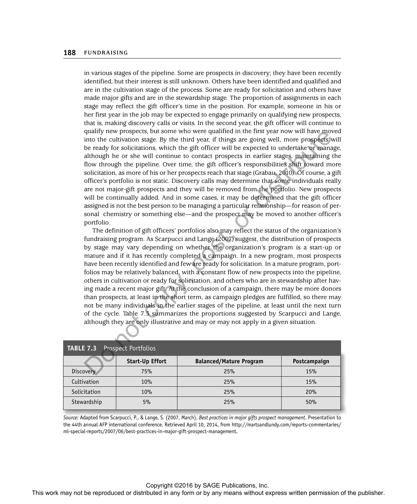in various stages of the pipeline. Some are prospects in discovery; they have been recently identified, but their interest is still unknown. Others have been identified and qualified and are in the cultivation stage of the process. Some are ready for solicitation and others have made major gifts and are in the stewardship stage. The proportion of assignments in each stage may reflect the gift officer's time in the position. For example, someone in his or her first year in the job may be expected to engage primarily on qualifying new prospects, that is, making discovery calls or visits. In the second year, the gift officer will continue to qualify new prospects, but some who were qualified in the first year now will have moved into the cultivation stage. By the third year, if things are going well, more prospects will be ready for solicitations, which the gift officer will be expected to undertake or manage, although he or she will continue to contact prospects in earlier stages, maintaining the flow through the pipeline. Over time, the gift officer's responsibilities shift toward more solicitation, as more of his or her prospects reach that stage (Grabau, 2010). Of course, a gift officer's portfolio is not static. Discovery calls may determine that some individuals really are not major-gift prospects and they will be removed from the portfolio. New prospects will be continually added. And in some cases, it may be determined that the gift officer assigned is not the best person to be managing a particular relationship—for reason of personal chemistry or something else—and the prospect may be moved to another officer's portfolio.

The definition of gift officers' portfolios also may reflect the status of the organization's fundraising program. As Scarpucci and Lange (2007) suggest, the distribution of prospects by stage may vary depending on whether the organization's program is a start-up or mature and if it has recently completed a campaign. In a new program, most prospects have been recently identified and few are ready for solicitation. In a mature program, portfolios may be relatively balanced, with a constant flow of new prospects into the pipeline, others in cultivation or ready for solicitation, and others who are in stewardship after having made a recent major gift. At the conclusion of a campaign, there may be more donors than prospects, at least in the short term, as campaign pledges are fulfilled, so there may not be many individuals in the earlier stages of the pipeline, at least until the next turn of the cycle. Table 7.3 summarizes the proportions suggested by Scarpucci and Lange, although they are only illustrative and may or may not apply in a given situation. quality of possibles to actual the rest in any form or by any first or the publisher.<br>
This work may not be reproduced or distributed in any form or by any means which the reproduced or the state in any form or by any me

| <b>TABLE 7.3</b> | Prospect Portfolios |                                |              |
|------------------|---------------------|--------------------------------|--------------|
|                  | Start-Up Effort     | <b>Balanced/Mature Program</b> | Postcampaign |
| <b>Discovery</b> | 75%                 | 25%                            | 15%          |
| Cultivation      | 10%                 | 25%                            | 15%          |
| Solicitation     | 10%                 | 25%                            | 20%          |
| Stewardship      | 5%                  | 25%                            | 50%          |

*Source:* Adapted from Scarpucci, P., & Lange, S. (2007, March). *Best practices in major gifts prospect management*. Presentation to the 44th annual AFP international conference. Retrieved April 10, 2014, from http://martsandlundy.com/reports-commentaries/ ml-special-reports/2007/06/best-practices-in-major-gift-prospect-management.

#### Copyright ©2016 by SAGE Publications, Inc.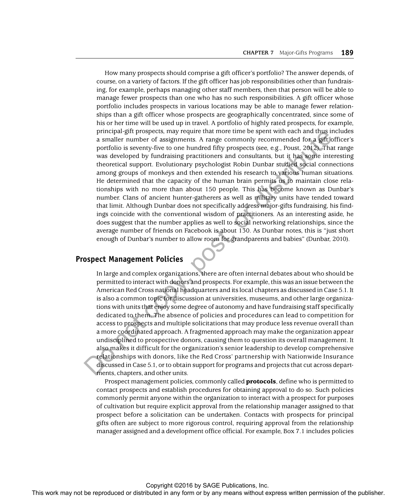How many prospects should comprise a gift officer's portfolio? The answer depends, of course, on a variety of factors. If the gift officer has job responsibilities other than fundraising, for example, perhaps managing other staff members, then that person will be able to manage fewer prospects than one who has no such responsibilities. A gift officer whose portfolio includes prospects in various locations may be able to manage fewer relationships than a gift officer whose prospects are geographically concentrated, since some of his or her time will be used up in travel. A portfolio of highly rated prospects, for example, principal-gift prospects, may require that more time be spent with each and thus includes a smaller number of assignments. A range commonly recommended for a gift officer's portfolio is seventy-five to one hundred fifty prospects (see, e.g., Poust, 2012). That range was developed by fundraising practitioners and consultants, but it has some interesting theoretical support. Evolutionary psychologist Robin Dunbar studied social connections among groups of monkeys and then extended his research to various human situations. He determined that the capacity of the human brain permits us to maintain close relationships with no more than about 150 people. This has become known as Dunbar's number. Clans of ancient hunter-gatherers as well as military units have tended toward that limit. Although Dunbar does not specifically address major-gifts fundraising, his findings coincide with the conventional wisdom of practitioners. As an interesting aside, he does suggest that the number applies as well to social networking relationships, since the average number of friends on Facebook is about 130. As Dunbar notes, this is "just short enough of Dunbar's number to allow room for grandparents and babies" (Dunbar, 2010). planes are proposed. This work may not be reproduced to the reproduced or distributed in any form or by any means which contains the theoretical support. Evolutionary providing permission or but it is have the representati

## **Prospect Management Policies**

In large and complex organizations, there are often internal debates about who should be permitted to interact with donors and prospects. For example, this was an issue between the American Red Cross national headquarters and its local chapters as discussed in Case 5.1. It is also a common topic for discussion at universities, museums, and other large organizations with units that enjoy some degree of autonomy and have fundraising staff specifically dedicated to them. The absence of policies and procedures can lead to competition for access to prospects and multiple solicitations that may produce less revenue overall than a more coordinated approach. A fragmented approach may make the organization appear undisciplined to prospective donors, causing them to question its overall management. It also makes it difficult for the organization's senior leadership to develop comprehensive relationships with donors, like the Red Cross' partnership with Nationwide Insurance discussed in Case 5.1, or to obtain support for programs and projects that cut across departments, chapters, and other units.

Prospect management policies, commonly called **protocols**, define who is permitted to contact prospects and establish procedures for obtaining approval to do so. Such policies commonly permit anyone within the organization to interact with a prospect for purposes of cultivation but require explicit approval from the relationship manager assigned to that prospect before a solicitation can be undertaken. Contacts with prospects for principal gifts often are subject to more rigorous control, requiring approval from the relationship manager assigned and a development office official. For example, Box 7.1 includes policies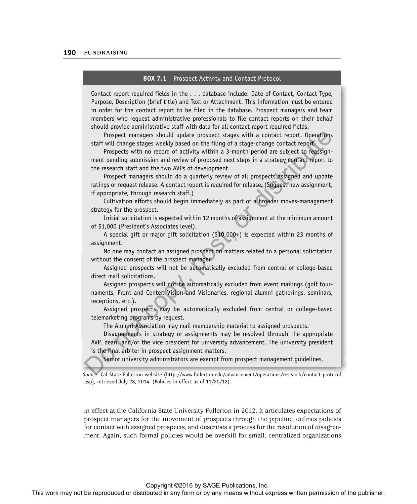#### **BOX 7.1** Prospect Activity and Contact Protocol

Contact report required fields in the . . . database include: Date of Contact, Contact Type, Purpose, Description (brief title) and Text or Attachment. This information must be entered in order for the contact report to be filed in the database. Prospect managers and team members who request administrative professionals to file contact reports on their behalf should provide administrative staff with data for all contact report required fields.

Prospect managers should update prospect stages with a contact report. Operations staff will change stages weekly based on the filing of a stage-change contact report.

Prospects with no record of activity within a 3-month period are subject to reassignment pending submission and review of proposed next steps in a strategy contact report to the research staff and the two AVPs of development.

Prospect managers should do a quarterly review of all prospects assigned and update ratings or request release. A contact report is required for release. (Suggest new assignment, if appropriate, through research staff.)

Cultivation efforts should begin immediately as part of a broader moves-management strategy for the prospect.

Initial solicitation is expected within 12 months of assignment at the minimum amount of \$1,000 (President's Associates level).

A special gift or major gift solicitation (\$10,000+) is expected within 23 months of assignment.

No one may contact an assigned prospect on matters related to a personal solicitation without the consent of the prospect manager.

Assigned prospects will not be automatically excluded from central or college-based direct mail solicitations.

Assigned prospects will not be automatically excluded from event mailings (golf tournaments, Front and Center, Vision and Visionaries, regional alumni gatherings, seminars, receptions, etc.).

Assigned prospects may be automatically excluded from central or college-based telemarketing programs by request.

The Alumni Association may mail membership material to assigned prospects.

Disagreements in strategy or assignments may be resolved through the appropriate AVP, dean, and/or the vice president for university advancement. The university president is the final arbiter in prospect assignment matters.

Senior university administrators are exempt from prospect management guidelines.

*Source:* Cal State Fullerton website (http://www.fullerton.edu/advancement/operations/research/contact-protocol .asp), retrieved July 28, 2014. (Policies in effect as of 11/20/12).

in effect at the California State University Fullerton in 2012. It articulates expectations of prospect managers for the movement of prospects through the pipeline, defines policies for contact with assigned prospects, and describes a process for the resolution of disagreement. Again, such formal policies would be overkill for small, centralized organizations Properties the reproduced or distributed in any form of the reproduced or distributed in any form or by any means which properties without a single the publisher. The publisher was not be reproduced of a consider stribute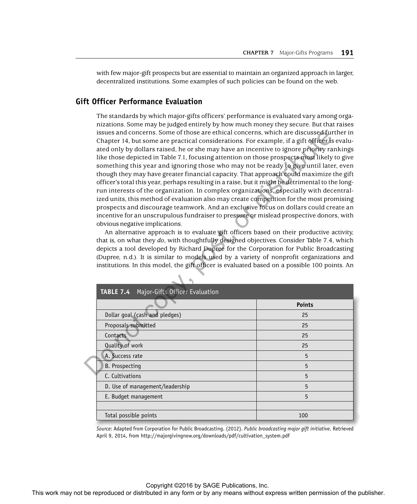with few major-gift prospects but are essential to maintain an organized approach in larger, decentralized institutions. Some examples of such policies can be found on the web.

## **Gift Officer Performance Evaluation**

The standards by which major-gifts officers' performance is evaluated vary among organizations. Some may be judged entirely by how much money they secure. But that raises issues and concerns. Some of those are ethical concerns, which are discussed further in Chapter 14, but some are practical considerations. For example, if a gift officer is evaluated only by dollars raised, he or she may have an incentive to ignore priority rankings like those depicted in Table 7.1, focusing attention on those prospects most likely to give something this year and ignoring those who may not be ready to give until later, even though they may have greater financial capacity. That approach could maximize the gift officer's total this year, perhaps resulting in a raise, but it might be detrimental to the longrun interests of the organization. In complex organizations, especially with decentralized units, this method of evaluation also may create competition for the most promising prospects and discourage teamwork. And an exclusive focus on dollars could create an incentive for an unscrupulous fundraiser to pressure or mislead prospective donors, with obvious negative implications.

| obvious negative implications.                     | officer's total this year, perhaps resulting in a raise, but it might be detrimental to the long-<br>run interests of the organization. In complex organizations, especially with decentral-<br>ized units, this method of evaluation also may create competition for the most promising<br>prospects and discourage teamwork. And an exclusive focus on dollars could create an<br>incentive for an unscrupulous fundraiser to pressure or mislead prospective donors, with<br>An alternative approach is to evaluate gift officers based on their productive activity,<br>that is, on what they do, with thoughtfully designed objectives. Consider Table 7.4, which<br>depicts a tool developed by Richard Dupree for the Corporation for Public Broadcasting<br>(Dupree, n.d.). It is similar to models used by a variety of nonprofit organizations and<br>institutions. In this model, the gift officer is evaluated based on a possible 100 points. An |
|----------------------------------------------------|---------------------------------------------------------------------------------------------------------------------------------------------------------------------------------------------------------------------------------------------------------------------------------------------------------------------------------------------------------------------------------------------------------------------------------------------------------------------------------------------------------------------------------------------------------------------------------------------------------------------------------------------------------------------------------------------------------------------------------------------------------------------------------------------------------------------------------------------------------------------------------------------------------------------------------------------------------------|
|                                                    |                                                                                                                                                                                                                                                                                                                                                                                                                                                                                                                                                                                                                                                                                                                                                                                                                                                                                                                                                               |
| Major-Gifts Officer Evaluation<br><b>TABLE 7.4</b> |                                                                                                                                                                                                                                                                                                                                                                                                                                                                                                                                                                                                                                                                                                                                                                                                                                                                                                                                                               |
|                                                    |                                                                                                                                                                                                                                                                                                                                                                                                                                                                                                                                                                                                                                                                                                                                                                                                                                                                                                                                                               |
|                                                    | <b>Points</b>                                                                                                                                                                                                                                                                                                                                                                                                                                                                                                                                                                                                                                                                                                                                                                                                                                                                                                                                                 |
| Dollar goal (cash and pledges)                     | 25                                                                                                                                                                                                                                                                                                                                                                                                                                                                                                                                                                                                                                                                                                                                                                                                                                                                                                                                                            |
| Proposals submitted                                | 25                                                                                                                                                                                                                                                                                                                                                                                                                                                                                                                                                                                                                                                                                                                                                                                                                                                                                                                                                            |
| Contacts                                           | 25                                                                                                                                                                                                                                                                                                                                                                                                                                                                                                                                                                                                                                                                                                                                                                                                                                                                                                                                                            |
| Quality of work                                    | 25                                                                                                                                                                                                                                                                                                                                                                                                                                                                                                                                                                                                                                                                                                                                                                                                                                                                                                                                                            |
| A. Success rate                                    | 5                                                                                                                                                                                                                                                                                                                                                                                                                                                                                                                                                                                                                                                                                                                                                                                                                                                                                                                                                             |
| <b>B.</b> Prospecting                              | 5                                                                                                                                                                                                                                                                                                                                                                                                                                                                                                                                                                                                                                                                                                                                                                                                                                                                                                                                                             |
| C. Cultivations                                    | 5                                                                                                                                                                                                                                                                                                                                                                                                                                                                                                                                                                                                                                                                                                                                                                                                                                                                                                                                                             |
| D. Use of management/leadership                    | 5                                                                                                                                                                                                                                                                                                                                                                                                                                                                                                                                                                                                                                                                                                                                                                                                                                                                                                                                                             |
| E. Budget management                               | 5                                                                                                                                                                                                                                                                                                                                                                                                                                                                                                                                                                                                                                                                                                                                                                                                                                                                                                                                                             |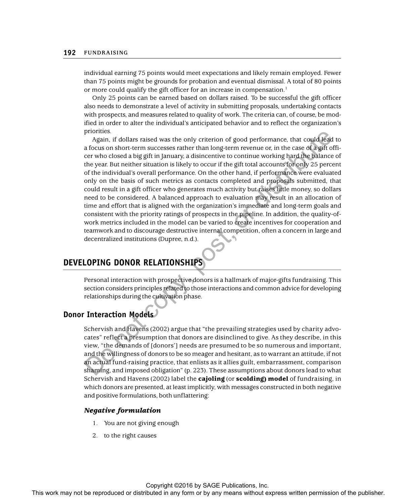individual earning 75 points would meet expectations and likely remain employed. Fewer than 75 points might be grounds for probation and eventual dismissal. A total of 80 points or more could qualify the gift officer for an increase in compensation.<sup>1</sup>

Only 25 points can be earned based on dollars raised. To be successful the gift officer also needs to demonstrate a level of activity in submitting proposals, undertaking contacts with prospects, and measures related to quality of work. The criteria can, of course, be modified in order to alter the individual's anticipated behavior and to reflect the organization's priorities.

Again, if dollars raised was the only criterion of good performance, that could lead to a focus on short-term successes rather than long-term revenue or, in the case of a gift officer who closed a big gift in January, a disincentive to continue working hard the balance of the year. But neither situation is likely to occur if the gift total accounts for only 25 percent of the individual's overall performance. On the other hand, if performance were evaluated only on the basis of such metrics as contacts completed and proposals submitted, that could result in a gift officer who generates much activity but raises little money, so dollars need to be considered. A balanced approach to evaluation may result in an allocation of time and effort that is aligned with the organization's immediate and long-term goals and consistent with the priority ratings of prospects in the pipeline. In addition, the quality-ofwork metrics included in the model can be varied to create incentives for cooperation and teamwork and to discourage destructive internal competition, often a concern in large and decentralized institutions (Dupree, n.d.). profits. The control or the complete or distributed in a specifical control of  $\sim$  distributed in the reproduced in the publisher or control or distributed in any field in any field in any field in any field in any field

## **DEVELOPING DONOR RELATIONSHIPS**

Personal interaction with prospective donors is a hallmark of major-gifts fundraising. This section considers principles related to those interactions and common advice for developing relationships during the cultivation phase.

## **Donor Interaction Models**

Schervish and Havens (2002) argue that "the prevailing strategies used by charity advocates" reflect a presumption that donors are disinclined to give. As they describe, in this view, "the demands of [donors'] needs are presumed to be so numerous and important, and the willingness of donors to be so meager and hesitant, as to warrant an attitude, if not an actual fund-raising practice, that enlists as it allies guilt, embarrassment, comparison shaming, and imposed obligation" (p. 223). These assumptions about donors lead to what Schervish and Havens (2002) label the **cajoling** (or **scolding) model** of fundraising, in which donors are presented, at least implicitly, with messages constructed in both negative and positive formulations, both unflattering:

#### *Negative formulation*

- 1. You are not giving enough
- 2. to the right causes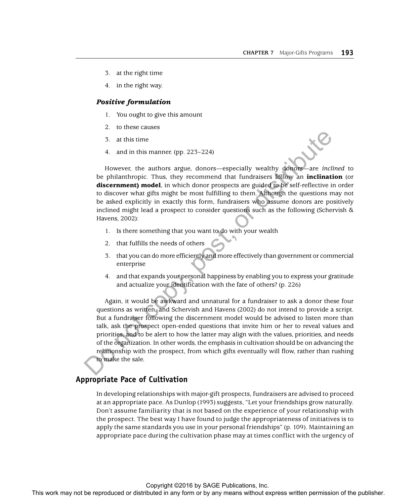- 3. at the right time
- 4. in the right way.

#### *Positive formulation*

- 1. You ought to give this amount
- 2. to these causes
- 3. at this time
- 4. and in this manner. (pp. 223–224)

However, the authors argue, donors—especially wealthy donors—are *inclined* to be philanthropic. Thus, they recommend that fundraisers follow an **inclination** (or **discernment) model**, in which donor prospects are guided to be self-reflective in order to discover what gifts might be most fulfilling to them. Although the questions may not be asked explicitly in exactly this form, fundraisers who assume donors are positively inclined might lead a prospect to consider questions such as the following (Schervish  $\&$ Havens, 2002):

- 1. Is there something that you want to do with your wealth
- 2. that fulfills the needs of others
- 3. that you can do more efficiently and more effectively than government or commercial enterprise
- 4. and that expands your personal happiness by enabling you to express your gratitude and actualize your identification with the fate of others? (p. 226)

Again, it would be awkward and unnatural for a fundraiser to ask a donor these four questions as written, and Schervish and Havens (2002) do not intend to provide a script. But a fundraiser following the discernment model would be advised to listen more than talk, ask the prospect open-ended questions that invite him or her to reveal values and priorities, and to be alert to how the latter may align with the values, priorities, and needs of the organization. In other words, the emphasis in cultivation should be on advancing the relationship with the prospect, from which gifts eventually will flow, rather than rushing to make the sale. 3. at this time<br>
4. and this is non-term angles. donore-especially weaking advantant to the published or distributed in any form or but is information of the full content or distributed in any form or distributed in any f

#### **Appropriate Pace of Cultivation**

In developing relationships with major-gift prospects, fundraisers are advised to proceed at an appropriate pace. As Dunlop (1993) suggests, "Let your friendships grow naturally. Don't assume familiarity that is not based on the experience of your relationship with the prospect. The best way I have found to judge the appropriateness of initiatives is to apply the same standards you use in your personal friendships" (p. 109). Maintaining an appropriate pace during the cultivation phase may at times conflict with the urgency of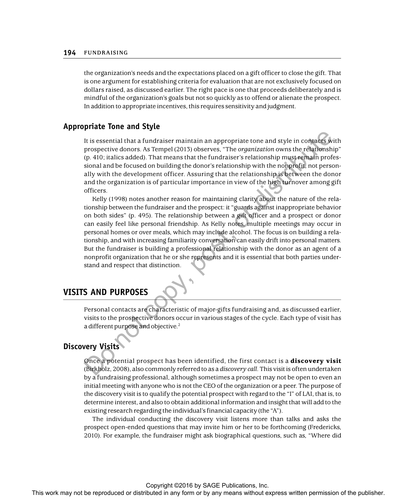the organization's needs and the expectations placed on a gift officer to close the gift. That is one argument for establishing criteria for evaluation that are not exclusively focused on dollars raised, as discussed earlier. The right pace is one that proceeds deliberately and is mindful of the organization's goals but not so quickly as to offend or alienate the prospect. In addition to appropriate incentives, this requires sensitivity and judgment.

#### **Appropriate Tone and Style**

It is essential that a fundraiser maintain an appropriate tone and style in contacts with prospective donors. As Tempel (2013) observes, "The *organization* owns the relationship" (p. 410; italics added). That means that the fundraiser's relationship must remain professional and be focused on building the donor's relationship with the nonprofit, not personally with the development officer. Assuring that the relationship is between the donor and the organization is of particular importance in view of the high turnover among gift officers.

Kelly (1998) notes another reason for maintaining clarity about the nature of the relationship between the fundraiser and the prospect: it "guards against inappropriate behavior on both sides" (p. 495). The relationship between a gift officer and a prospect or donor can easily feel like personal friendship. As Kelly notes, multiple meetings may occur in personal homes or over meals, which may include alcohol. The focus is on building a relationship, and with increasing familiarity conversation can easily drift into personal matters. But the fundraiser is building a professional relationship with the donor as an agent of a nonprofit organization that he or she represents and it is essential that both parties understand and respect that distinction. It is essential that a fundraistic maintain an appropriate tools and style in control or propries control. The operator of the reproduced or stributed in any means of the reproduced in any means we can be reproduced in a

## **VISITS AND PURPOSES**

Personal contacts are characteristic of major-gifts fundraising and, as discussed earlier, visits to the prospective donors occur in various stages of the cycle. Each type of visit has a different purpose and objective.<sup>2</sup>

## **Discovery Visits**

Once a potential prospect has been identified, the first contact is a **discovery visit** (Birkholz, 2008), also commonly referred to as a *discovery call*. This visit is often undertaken by a fundraising professional, although sometimes a prospect may not be open to even an initial meeting with anyone who is not the CEO of the organization or a peer. The purpose of the discovery visit is to qualify the potential prospect with regard to the "I" of LAI, that is, to determine interest, and also to obtain additional information and insight that will add to the existing research regarding the individual's financial capacity (the "A").

The individual conducting the discovery visit listens more than talks and asks the prospect open-ended questions that may invite him or her to be forthcoming (Fredericks, 2010). For example, the fundraiser might ask biographical questions, such as, "Where did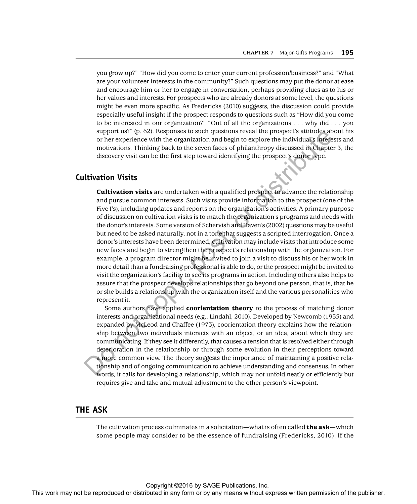you grow up?" "How did you come to enter your current profession/business?" and "What are your volunteer interests in the community?" Such questions may put the donor at ease and encourage him or her to engage in conversation, perhaps providing clues as to his or her values and interests. For prospects who are already donors at some level, the questions might be even more specific. As Fredericks (2010) suggests, the discussion could provide especially useful insight if the prospect responds to questions such as "How did you come to be interested in our organization?" "Out of all the organizations . . . why did . . . you support us?" (p. 62). Responses to such questions reveal the prospect's attitudes about his or her experience with the organization and begin to explore the individual's interests and motivations. Thinking back to the seven faces of philanthropy discussed in Chapter 3, the discovery visit can be the first step toward identifying the prospect's donor type.

## **Cultivation Visits**

**Cultivation visits** are undertaken with a qualified prospect to advance the relationship and pursue common interests. Such visits provide information to the prospect (one of the Five I's), including updates and reports on the organization's activities. A primary purpose of discussion on cultivation visits is to match the organization's programs and needs with the donor's interests. Some version of Schervish and Haven's (2002) questions may be useful but need to be asked naturally, not in a tone that suggests a scripted interrogation. Once a donor's interests have been determined, cultivation may include visits that introduce some new faces and begin to strengthen the prospect's relationship with the organization. For example, a program director might be invited to join a visit to discuss his or her work in more detail than a fundraising professional is able to do, or the prospect might be invited to visit the organization's facility to see its programs in action. Including others also helps to assure that the prospect develops relationships that go beyond one person, that is, that he or she builds a relationship with the organization itself and the various personalities who represent it. sing the representation or distributed in any form of the publisher and the publisher or distributed in any form or by any means which are the publisher. The means were represented in a content of the publisher or the pub

Some authors have applied **coorientation theory** to the process of matching donor interests and organizational needs (e.g., Lindahl, 2010). Developed by Newcomb (1953) and expanded by McLeod and Chaffee (1973), coorientation theory explains how the relationship between two individuals interacts with an object, or an idea, about which they are communicating. If they see it differently, that causes a tension that is resolved either through deterioration in the relationship or through some evolution in their perceptions toward a more common view. The theory suggests the importance of maintaining a positive relationship and of ongoing communication to achieve understanding and consensus. In other words, it calls for developing a relationship, which may not unfold neatly or efficiently but requires give and take and mutual adjustment to the other person's viewpoint.

## **THE ASK**

The cultivation process culminates in a solicitation—what is often called **the ask***—*which some people may consider to be the essence of fundraising (Fredericks, 2010). If the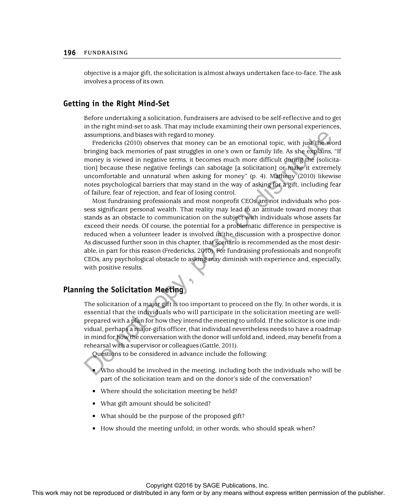objective is a major gift, the solicitation is almost always undertaken face-to-face. The ask involves a process of its own.

#### **Getting in the Right Mind-Set**

Before undertaking a solicitation, fundraisers are advised to be self-reflective and to get in the right mind-set to ask. That may include examining their own personal experiences, assumptions, and biases with regard to money.

Fredericks (2010) observes that money can be an emotional topic, with just the word bringing back memories of past struggles in one's own or family life. As she explains, "If money is viewed in negative terms, it becomes much more difficult during the [solicitation] because these negative feelings can sabotage [a solicitation] or make it extremely uncomfortable and unnatural when asking for money" (p. 4). Matheny (2010) likewise notes psychological barriers that may stand in the way of asking for a gift, including fear of failure, fear of rejection, and fear of losing control.

Most fundraising professionals and most nonprofit CEOs are not individuals who possess significant personal wealth. That reality may lead to an attitude toward money that stands as an obstacle to communication on the subject with individuals whose assets far exceed their needs. Of course, the potential for a problematic difference in perspective is reduced when a volunteer leader is involved in the discussion with a prospective donor. As discussed further soon in this chapter, that scenario is recommended as the most desirable, in part for this reason (Fredericks, 2010). For fundraising professionals and nonprofit CEOs, any psychological obstacle to asking may diminish with experience and, especially, with positive results. Example the reproduced or the reproduced or distributed in any form or by any form or by any copyright the state of the publisher. The response the reproduced in any form or by any copyright the state of the publisher. Th

## **Planning the Solicitation Meeting**

The solicitation of a major gift is too important to proceed on the fly. In other words, it is essential that the individuals who will participate in the solicitation meeting are wellprepared with a plan for how they intend the meeting to unfold. If the solicitor is one individual, perhaps a major-gifts officer, that individual nevertheless needs to have a roadmap in mind for how the conversation with the donor will unfold and, indeed, may benefit from a rehearsal with a supervisor or colleagues (Gattle, 2011).

Questions to be considered in advance include the following:

- Who should be involved in the meeting, including both the individuals who will be part of the solicitation team and on the donor's side of the conversation?
- Where should the solicitation meeting be held?
- What gift amount should be solicited?
- What should be the purpose of the proposed gift?
- How should the meeting unfold; in other words, who should speak when?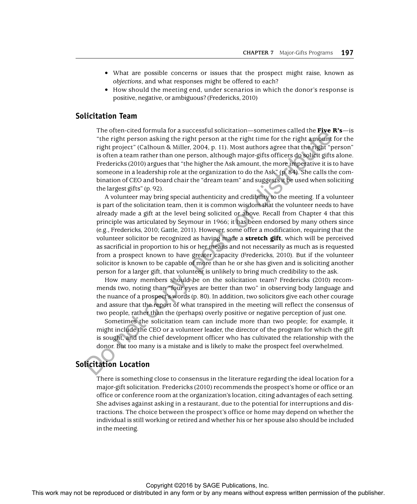- What are possible concerns or issues that the prospect might raise, known as *objections*, and what responses might be offered to each?
- How should the meeting end, under scenarios in which the donor's response is positive, negative, or ambiguous? (Fredericks, 2010)

#### **Solicitation Team**

The often-cited formula for a successful solicitation—sometimes called the **Five R's***—*is "the right person asking the right person at the right time for the right amount for the right project" (Calhoun & Miller, 2004, p. 11). Most authors agree that the right "person" is often a team rather than one person, although major-gifts officers do solicit gifts alone. Fredericks (2010) argues that "the higher the Ask amount, the more imperative it is to have someone in a leadership role at the organization to do the Ask" (p. 84). She calls the combination of CEO and board chair the "dream team" and suggests it be used when soliciting the largest gifts" (p. 92).

A volunteer may bring special authenticity and credibility to the meeting. If a volunteer is part of the solicitation team, then it is common wisdom that the volunteer needs to have already made a gift at the level being solicited or above. Recall from Chapter 4 that this principle was articulated by Seymour in 1966; it has been endorsed by many others since (e.g., Fredericks, 2010; Gattle, 2011). However, some offer a modification, requiring that the volunteer solicitor be recognized as having made a **stretch gift**, which will be perceived as sacrificial in proportion to his or her means and not necessarily as much as is requested from a prospect known to have greater capacity (Fredericks, 2010). But if the volunteer solicitor is known to be capable of more than he or she has given and is soliciting another person for a larger gift, that volunteer is unlikely to bring much credibility to the ask. The representation of the reproduced or distributed in any form or the representation of the representation or the representation of the representation of the representation of the representation of the representation of t

How many members should be on the solicitation team? Fredericks (2010) recommends two, noting than "four eyes are better than two" in observing body language and the nuance of a prospect's words (p. 80). In addition, two solicitors give each other courage and assure that the report of what transpired in the meeting will reflect the consensus of two people, rather than the (perhaps) overly positive or negative perception of just one.

Sometimes the solicitation team can include more than two people; for example, it might include the CEO or a volunteer leader, the director of the program for which the gift is sought, and the chief development officer who has cultivated the relationship with the donor. But too many is a mistake and is likely to make the prospect feel overwhelmed.

## **Solicitation Location**

There is something close to consensus in the literature regarding the ideal location for a major-gift solicitation. Fredericks (2010) recommends the prospect's home or office or an office or conference room at the organization's location, citing advantages of each setting. She advises against asking in a restaurant, due to the potential for interruptions and distractions. The choice between the prospect's office or home may depend on whether the individual is still working or retired and whether his or her spouse also should be included in the meeting.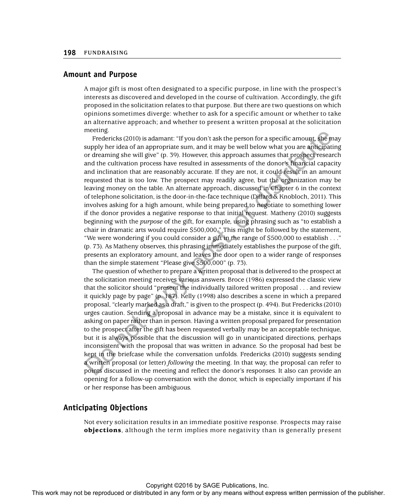#### **Amount and Purpose**

A major gift is most often designated to a specific purpose, in line with the prospect's interests as discovered and developed in the course of cultivation. Accordingly, the gift proposed in the solicitation relates to that purpose. But there are two questions on which opinions sometimes diverge: whether to ask for a specific amount or whether to take an alternative approach; and whether to present a written proposal at the solicitation meeting.

Fredericks (2010) is adamant: "If you don't ask the person for a specific amount, she may supply her idea of an appropriate sum, and it may be well below what you are anticipating or dreaming she will give" (p. 39). However, this approach assumes that prospect research and the cultivation process have resulted in assessments of the donor's financial capacity and inclination that are reasonably accurate. If they are not, it could result in an amount requested that is too low. The prospect may readily agree, but the organization may be leaving money on the table. An alternate approach, discussed in Chapter 6 in the context of telephone solicitation, is the door-in-the-face technique (Dillard  $\&$  Knobloch, 2011). This involves asking for a high amount, while being prepared to negotiate to something lower if the donor provides a negative response to that initial request. Matheny (2010) suggests beginning with the *purpose* of the gift, for example, using phrasing such as "to establish a chair in dramatic arts would require \$500,000." This might be followed by the statement, "We were wondering if you could consider a gift in the range of \$500,000 to establish . . ." (p. 73). As Matheny observes, this phrasing immediately establishes the purpose of the gift, presents an exploratory amount, and leaves the door open to a wider range of responses than the simple statement "Please give \$500,000" (p. 73). The this work of any form or by and the publishering specific annotation and the reproduced in any form or distributed in any form or by any means which is the publisher or distributed or distributed in the publisher. Thi

The question of whether to prepare a written proposal that is delivered to the prospect at the solicitation meeting receives various answers. Broce (1986) expressed the classic view that the solicitor should "present the individually tailored written proposal . . . and review it quickly page by page" (p. 187). Kelly (1998) also describes a scene in which a prepared proposal, "clearly marked as a draft," is given to the prospect (p. 494). But Fredericks (2010) urges caution. Sending a proposal in advance may be a mistake, since it is equivalent to asking on paper rather than in person. Having a written proposal prepared for presentation to the prospect after the gift has been requested verbally may be an acceptable technique, but it is always possible that the discussion will go in unanticipated directions, perhaps inconsistent with the proposal that was written in advance. So the proposal had best be kept in the briefcase while the conversation unfolds. Fredericks (2010) suggests sending a written proposal (or letter) *following* the meeting. In that way, the proposal can refer to points discussed in the meeting and reflect the donor's responses. It also can provide an opening for a follow-up conversation with the donor, which is especially important if his or her response has been ambiguous.

#### **Anticipating Objections**

Not every solicitation results in an immediate positive response. Prospects may raise **objections**, although the term implies more negativity than is generally present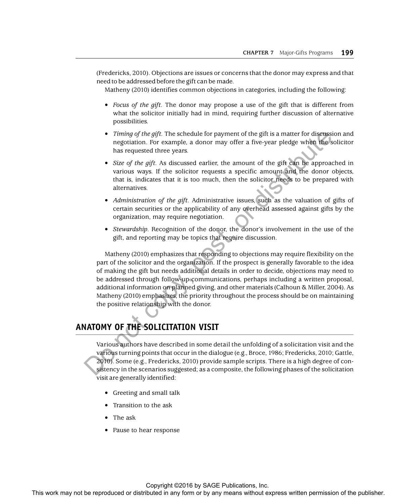( Fredericks, 2010). Objections are issues or concerns that the donor may express and that need to be addressed before the gift can be made.

Matheny (2010) identifies common objections in categories, including the following:

- *Focus of the gift.* The donor may propose a use of the gift that is different from what the solicitor initially had in mind, requiring further discussion of alternative possibilities.
- *Timing of the gift.* The schedule for payment of the gift is a matter for discussion and negotiation. For example, a donor may offer a five-year pledge when the solicitor has requested three years.
- *Size of the gift.* As discussed earlier, the amount of the gift can be approached in various ways. If the solicitor requests a specific amount and the donor objects, that is, indicates that it is too much, then the solicitor needs to be prepared with alternatives.
- *Administration of the gift.* Administrative issues, such as the valuation of gifts of certain securities or the applicability of any overhead assessed against gifts by the organization, may require negotiation.
- *Stewardship.* Recognition of the donor, the donor's involvement in the use of the gift, and reporting may be topics that require discussion.

Matheny (2010) emphasizes that responding to objections may require flexibility on the part of the solicitor and the organization. If the prospect is generally favorable to the idea of making the gift but needs additional details in order to decide, objections may need to be addressed through follow-up communications, perhaps including a written proposal, additional information on planned giving, and other materials (Calhoun & Miller, 2004). As Matheny (2010) emphasizes, the priority throughout the process should be on maintaining the positive relationship with the donor. This work may of the gift. This schedule for paying and the gift is an answer form or by any measure of the gift  $\Delta t$  measured in the representation of the subicide representation of the publisher. The subicide in any fi

## **ANATOMY OF THE SOLICITATION VISIT**

Various authors have described in some detail the unfolding of a solicitation visit and the various turning points that occur in the dialogue (e.g., Broce, 1986; Fredericks, 2010; Gattle, 2010). Some (e.g., Fredericks, 2010) provide sample scripts. There is a high degree of consistency in the scenarios suggested; as a composite, the following phases of the solicitation visit are generally identified:

- Greeting and small talk
- Transition to the ask
- The ask
- Pause to hear response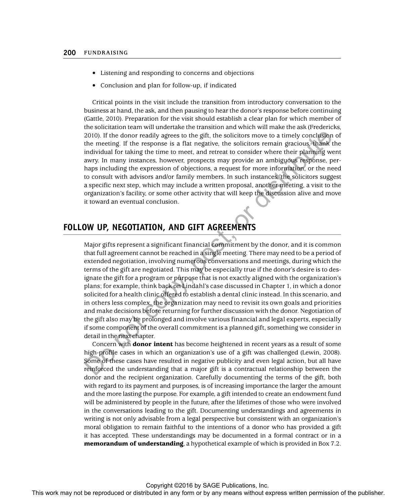- Listening and responding to concerns and objections
- Conclusion and plan for follow-up, if indicated

Critical points in the visit include the transition from introductory conversation to the business at hand, the ask, and then pausing to hear the donor's response before continuing (Gattle, 2010). Preparation for the visit should establish a clear plan for which member of the solicitation team will undertake the transition and which will make the ask (Fredericks, 2010). If the donor readily agrees to the gift, the solicitors move to a timely conclusion of the meeting. If the response is a flat negative, the solicitors remain gracious, thank the individual for taking the time to meet, and retreat to consider where their planning went awry. In many instances, however, prospects may provide an ambiguous response, perhaps including the expression of objections, a request for more information, or the need to consult with advisors and/or family members. In such instances, the solicitors suggest a specific next step, which may include a written proposal, another meeting, a visit to the organization's facility, or some other activity that will keep the discussion alive and move it toward an eventual conclusion.

## **FOLLOW UP, NEGOTIATION, AND GIFT AGREEMENTS**

Major gifts represent a significant financial commitment by the donor, and it is common that full agreement cannot be reached in a single meeting. There may need to be a period of extended negotiation, involving numerous conversations and meetings, during which the terms of the gift are negotiated. This may be especially true if the donor's desire is to designate the gift for a program or purpose that is not exactly aligned with the organization's plans; for example, think back on Lindahl's case discussed in Chapter 1, in which a donor solicited for a health clinic offered to establish a dental clinic instead. In this scenario, and in others less complex, the organization may need to revisit its own goals and priorities and make decisions before returning for further discussion with the donor. Negotiation of the gift also may be prolonged and involve various financial and legal experts, especially if some component of the overall commitment is a planned gift, something we consider in detail in the next chapter.

Concern with **donor intent** has become heightened in recent years as a result of some high-profile cases in which an organization's use of a gift was challenged (Lewin, 2008). Some of these cases have resulted in negative publicity and even legal action, but all have reinforced the understanding that a major gift is a contractual relationship between the donor and the recipient organization. Carefully documenting the terms of the gift, both with regard to its payment and purposes, is of increasing importance the larger the amount and the more lasting the purpose. For example, a gift intended to create an endowment fund will be administered by people in the future, after the lifetimes of those who were involved in the conversations leading to the gift. Documenting understandings and agreements in writing is not only advisable from a legal perspective but consistent with an organization's moral obligation to remain faithful to the intentions of a donor who has provided a gift it has accepted. These understandings may be documented in a formal contract or in a **memorandum of understanding**, a hypothetical example of which is provided in Box 7.2. 2010). If the door readship gacers or the given in any form or to a limely consider the more in any form or between the readship or the publisher or the more in a mean to mean the readship or the publisher. The publisher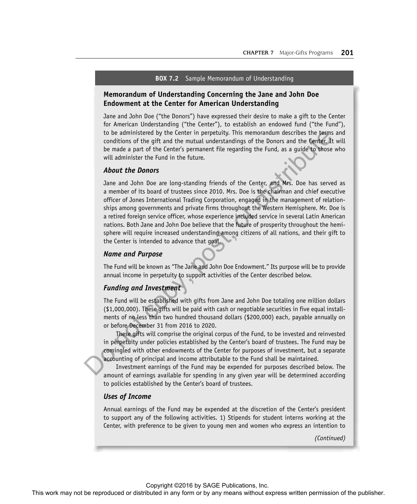#### **BOX 7.2** Sample Memorandum of Understanding

#### **Memorandum of Understanding Concerning the Jane and John Doe Endowment at the Center for American Understanding**

Jane and John Doe ("the Donors") have expressed their desire to make a gift to the Center for American Understanding ("the Center"), to establish an endowed fund ("the Fund"), to be administered by the Center in perpetuity. This memorandum describes the terms and conditions of the gift and the mutual understandings of the Donors and the Center. It will be made a part of the Center's permanent file regarding the Fund, as a guide to those who will administer the Fund in the future.

#### *About the Donors*

Jane and John Doe are long-standing friends of the Center, and Mrs. Doe has served as a member of its board of trustees since 2010. Mrs. Doe is the chairman and chief executive officer of Jones International Trading Corporation, engaged in the management of relationships among governments and private firms throughout the Western Hemisphere. Mr. Doe is a retired foreign service officer, whose experience included service in several Latin American nations. Both Jane and John Doe believe that the future of prosperity throughout the hemisphere will require increased understanding among citizens of all nations, and their gift to the Center is intended to advance that goal. to be animalized by the Granited in any firstic in any firstic is the publisher and the reproduced or distributed in any form or by any means with the control of the publisher. The reproduced or the first or by any means

#### *Name and Purpose*

The Fund will be known as "The Jane and John Doe Endowment." Its purpose will be to provide annual income in perpetuity to support activities of the Center described below.

### *Funding and Investment*

The Fund will be established with gifts from Jane and John Doe totaling one million dollars (\$1,000,000). These gifts will be paid with cash or negotiable securities in five equal installments of no less than two hundred thousand dollars (\$200,000) each, payable annually on or before December 31 from 2016 to 2020.

These gifts will comprise the original corpus of the Fund, to be invested and reinvested in perpetuity under policies established by the Center's board of trustees. The Fund may be comingled with other endowments of the Center for purposes of investment, but a separate accounting of principal and income attributable to the Fund shall be maintained.

Investment earnings of the Fund may be expended for purposes described below. The amount of earnings available for spending in any given year will be determined according to policies established by the Center's board of trustees.

#### *Uses of Income*

Annual earnings of the Fund may be expended at the discretion of the Center's president to support any of the following activities. 1) Stipends for student interns working at the Center, with preference to be given to young men and women who express an intention to

*(Continued)*

Copyright ©2016 by SAGE Publications, Inc.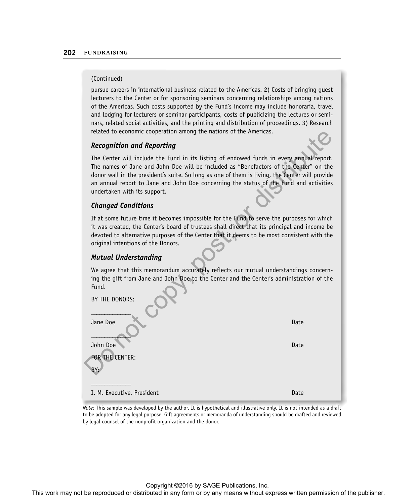#### (Continued)

pursue careers in international business related to the Americas. 2) Costs of bringing guest lecturers to the Center or for sponsoring seminars concerning relationships among nations of the Americas. Such costs supported by the Fund's income may include honoraria, travel and lodging for lecturers or seminar participants, costs of publicizing the lectures or seminars, related social activities, and the printing and distribution of proceedings. 3) Research related to economic cooperation among the nations of the Americas.

#### *Recognition and Reporting*

The Center will include the Fund in its listing of endowed funds in every annual report. The names of Jane and John Doe will be included as "Benefactors of the Center" on the donor wall in the president's suite. So long as one of them is living, the Center will provide an annual report to Jane and John Doe concerning the status of the Fund and activities undertaken with its support.

#### *Changed Conditions*

If at some future time it becomes impossible for the Fund to serve the purposes for which it was created, the Center's board of trustees shall direct that its principal and income be devoted to alternative purposes of the Center that it deems to be most consistent with the original intentions of the Donors.

#### *Mutual Understanding*

We agree that this memorandum accurately reflects our mutual understandings concerning the gift from Jane and John Doe to the Center and the Center's administration of the Fund.



*Note:* This sample was developed by the author. It is hypothetical and illustrative only. It is not intended as a draft to be adopted for any legal purpose. Gift agreements or memoranda of understanding should be drafted and reviewed by legal counsel of the nonprofit organization and the donor.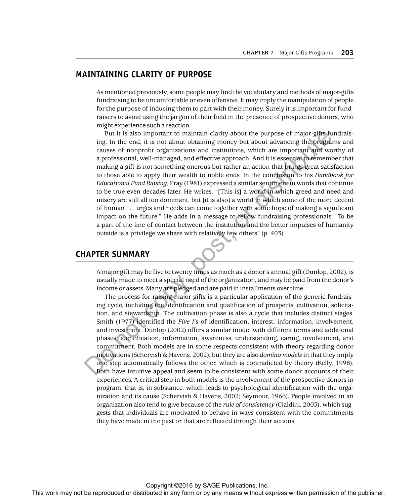## **MAINTAINING CLARITY OF PURPOSE**

As mentioned previously, some people may find the vocabulary and methods of major-gifts fundraising to be uncomfortable or even offensive. It may imply the manipulation of people for the purpose of inducing them to part with their money. Surely it is important for fundraisers to avoid using the jargon of their field in the presence of prospective donors, who might experience such a reaction.

But it is also important to maintain clarity about the purpose of major-gifts fundraising. In the end, it is not about obtaining money but about advancing the programs and causes of nonprofit organizations and institutions, which are important and worthy of a professional, well-managed, and effective approach. And it is essential to remember that making a gift is not something onerous but rather an action that brings great satisfaction to those able to apply their wealth to noble ends. In the conclusion to his *Handbook for Educational Fund Raising*, Pray (1981) expressed a similar sentiment in words that continue to be true even decades later. He writes, "[This is] a world in which greed and need and misery are still all too dominant, but [it is also] a world in which some of the more decent of human . . . urges and needs can come together with some hope of making a significant impact on the future." He adds in a message to fellow fundraising professionals, "To be a part of the line of contact between the institution and the better impulses of humanity outside is a privilege we share with relatively few others" (p. 403).

## **CHAPTER SUMMARY**

A major gift may be five to twenty times as much as a donor's annual gift (Dunlop, 2002), is usually made to meet a special need of the organization, and may be paid from the donor's income or assets. Many are pledged and are paid in installments over time.

The process for raising major gifts is a particular application of the generic fundraising cycle, including the identification and qualification of prospects, cultivation, solicitation, and stewardship. The cultivation phase is also a cycle that includes distinct stages. Smith (1977) identified the *Five I's* of identification, interest, information, involvement, and investment. Dunlop (2002) offers a similar model with different terms and additional phases: identification, information, awareness, understanding, caring, involvement, and commitment. Both models are in some respects consistent with theory regarding donor motivations (Schervish & Havens, 2002), but they are also *domino models* in that they imply one step automatically follows the other, which is contradicted by theory (Kelly, 1998). Both have intuitive appeal and seem to be consistent with some donor accounts of their experiences. A critical step in both models is the involvement of the prospective donors in program, that is, in substance, which leads to psychological identification with the organization and its cause (Schervish & Havens, 2002; Seymour, 1966). People involved in an organization also tend to give because of the *rule of consistency* (Cialdini, 2003), which suggests that individuals are motivated to behave in ways consistent with the commitments they have made in the past or that are reflected through their actions. This is to be reproduced or the rest of the rest of the rest or distributed in any form or by any means when  $\alpha$  composite or distributed in any form or by any means when  $\alpha$  the rest or distributed in any form or by an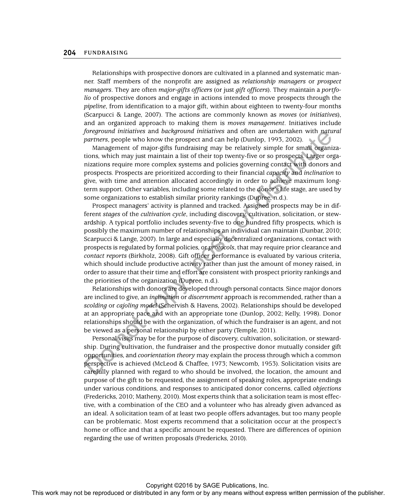Relationships with prospective donors are cultivated in a planned and systematic manner. Staff members of the nonprofit are assigned as *relationship managers* or *prospect managers*. They are often *major-gifts officers* (or just *gift officers*). They maintain a *portfolio* of prospective donors and engage in actions intended to move prospects through the *pipeline*, from identification to a major gift, within about eighteen to twenty-four months ( Scarpucci & Lange, 2007). The actions are commonly known as *moves* (or *initiatives*), and an organized approach to making them is *moves management*. Initiatives include *foreground initiatives* and *background initiatives* and often are undertaken with *natural partners*, people who know the prospect and can help (Dunlop, 1993, 2002).

Management of major-gifts fundraising may be relatively simple for small organizations, which may just maintain a list of their top twenty-five or so prospects. Larger organizations require more complex systems and policies governing contact with donors and prospects. Prospects are prioritized according to their financial *capacity* and *inclination* to give, with time and attention allocated accordingly in order to achieve maximum longterm support. Other variables, including some related to the donor's life stage, are used by some organizations to establish similar priority rankings (Dupree, n.d.).

Prospect managers' activity is planned and tracked. Assigned prospects may be in different *stages* of the *cultivation cycle*, including discovery, cultivation, solicitation, or stewardship. A typical portfolio includes seventy-five to one hundred fifty prospects, which is possibly the maximum number of relationships an individual can maintain (Dunbar, 2010; Scarpucci & Lange, 2007). In large and especially decentralized organizations, contact with prospects is regulated by formal policies, or *protocols*, that may require prior clearance and *contact reports* (Birkholz, 2008). Gift officer performance is evaluated by various criteria, which should include productive activity rather than just the amount of money raised, in order to assure that their time and effort are consistent with prospect priority rankings and the priorities of the organization (Dupree, n.d.).

Relationships with donors are developed through personal contacts. Since major donors are inclined to give, an *inclination* or *discernment* approach is recommended, rather than a *scolding* or *cajoling model* (Schervish & Havens, 2002). Relationships should be developed at an appropriate pace and with an appropriate tone (Dunlop, 2002; Kelly, 1998). Donor relationships should be with the organization, of which the fundraiser is an agent, and not be viewed as a personal relationship by either party (Temple, 2011).

Personal visits may be for the purpose of discovery, cultivation, solicitation, or stewardship. During cultivation, the fundraiser and the prospective donor mutually consider gift opportunities, and *coorientation theory* may explain the process through which a common perspective is achieved (McLeod & Chaffee, 1973; Newcomb, 1953). Solicitation visits are carefully planned with regard to who should be involved, the location, the amount and purpose of the gift to be requested, the assignment of speaking roles, appropriate endings under various conditions, and responses to anticipated donor concerns, called *objections*  (Fredericks, 2010; Matheny, 2010). Most experts think that a solicitation team is most effective, with a combination of the CEO and a volunteer who has already given advanced as an ideal. A solicitation team of at least two people offers advantages, but too many people can be problematic. Most experts recommend that a solicitation occur at the prospect's home or office and that a specific amount be requested. There are differences of opinion regarding the use of written proposals (Fredericks, 2010). *Propriates* and exception of the reproduced or distributed in any form or distributed in any produced or distributed in any form or by any means which may be reproduced a content of the publisher. The publisher or any f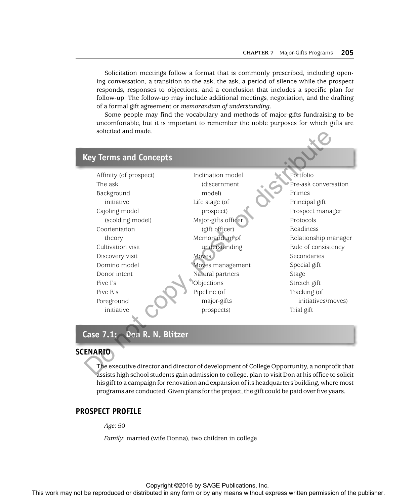Solicitation meetings follow a format that is commonly prescribed, including opening conversation, a transition to the ask, the ask, a period of silence while the prospect responds, responses to objections, and a conclusion that includes a specific plan for follow-up. The follow-up may include additional meetings, negotiation, and the drafting of a formal gift agreement or *memorandum of understanding*.

Some people may find the vocabulary and methods of major-gifts fundraising to be uncomfortable, but it is important to remember the noble purposes for which gifts are solicited and made.

| Affinity (of prospect)           | Inclination model                                                                                                                                                                                                                                                                                                                                                                                 | Portfolio                        |
|----------------------------------|---------------------------------------------------------------------------------------------------------------------------------------------------------------------------------------------------------------------------------------------------------------------------------------------------------------------------------------------------------------------------------------------------|----------------------------------|
| The ask                          | (discernment                                                                                                                                                                                                                                                                                                                                                                                      | Pre-ask conversation             |
| Background                       | model)                                                                                                                                                                                                                                                                                                                                                                                            | Primes                           |
| initiative                       | Life stage (of                                                                                                                                                                                                                                                                                                                                                                                    | Principal gift                   |
| Cajoling model                   | prospect)                                                                                                                                                                                                                                                                                                                                                                                         | Prospect manager                 |
| (scolding model)                 | Major-gifts officer                                                                                                                                                                                                                                                                                                                                                                               | Protocols                        |
| Coorientation                    | (gift officer)                                                                                                                                                                                                                                                                                                                                                                                    | Readiness                        |
| theory                           | Memorandum of                                                                                                                                                                                                                                                                                                                                                                                     | Relationship manager             |
| Cultivation visit                | understanding                                                                                                                                                                                                                                                                                                                                                                                     | Rule of consistency              |
| Discovery visit                  | Moves                                                                                                                                                                                                                                                                                                                                                                                             | Secondaries                      |
| Domino model                     | Moves management                                                                                                                                                                                                                                                                                                                                                                                  | Special gift                     |
| Donor intent                     | Natural partners                                                                                                                                                                                                                                                                                                                                                                                  | Stage                            |
| Five I's                         | Objections                                                                                                                                                                                                                                                                                                                                                                                        | Stretch gift                     |
| Five R's                         | Pipeline (of                                                                                                                                                                                                                                                                                                                                                                                      | Tracking (of                     |
| Foreground<br>initiative         | major-gifts<br>prospects)                                                                                                                                                                                                                                                                                                                                                                         | initiatives/moves)<br>Trial gift |
| Don R. N. Blitzer<br>Case $7.1:$ |                                                                                                                                                                                                                                                                                                                                                                                                   |                                  |
| <b>SCENARIO</b>                  |                                                                                                                                                                                                                                                                                                                                                                                                   |                                  |
|                                  | The executive director and director of development of College Opportunity, a nonprofit that<br>assists high school students gain admission to college, plan to visit Don at his office to solicit<br>his gift to a campaign for renovation and expansion of its headquarters building, where most<br>programs are conducted. Given plans for the project, the gift could be paid over five years. |                                  |
|                                  |                                                                                                                                                                                                                                                                                                                                                                                                   |                                  |
| <b>PROSPECT PROFILE</b>          |                                                                                                                                                                                                                                                                                                                                                                                                   |                                  |
| Age: 50                          |                                                                                                                                                                                                                                                                                                                                                                                                   |                                  |
|                                  | Family: married (wife Donna), two children in college                                                                                                                                                                                                                                                                                                                                             |                                  |

## **Case 7.1: Don R. N. Blitzer**

#### **SCENARIO**

#### **PROSPECT PROFILE**

#### *Age*: 50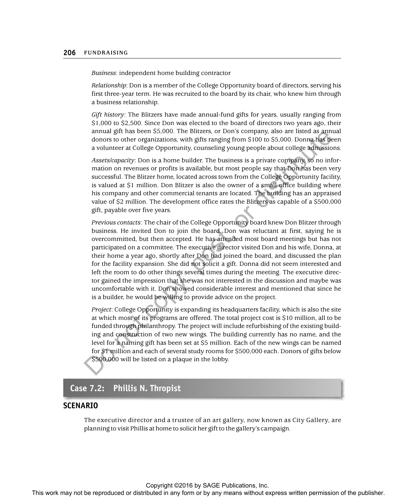*Business*: independent home building contractor

*Relationship*: Don is a member of the College Opportunity board of directors, serving his first three-year term. He was recruited to the board by its chair, who knew him through a business relationship.

*Gift history*: The Blitzers have made annual-fund gifts for years, usually ranging from \$1,000 to \$2,500. Since Don was elected to the board of directors two years ago, their annual gift has been \$5,000. The Blitzers, or Don's company, also are listed as annual donors to other organizations, with gifts ranging from \$100 to \$5,000. Donna has been a volunteer at College Opportunity, counseling young people about college admissions.

*Assets/capacity*: Don is a home builder. The business is a private company, so no information on revenues or profits is available, but most people say that Don has been very successful. The Blitzer home, located across town from the College Opportunity facility, is valued at \$1 million. Don Blitzer is also the owner of a small office building where his company and other commercial tenants are located. The building has an appraised value of \$2 million. The development office rates the Blitzers as capable of a \$500,000 gift, payable over five years.

*Previous contacts*: The chair of the College Opportunity board knew Don Blitzer through business. He invited Don to join the board. Don was reluctant at first, saying he is overcommitted, but then accepted. He has attended most board meetings but has not participated on a committee. The executive director visited Don and his wife, Donna, at their home a year ago, shortly after Don had joined the board, and discussed the plan for the facility expansion. She did not solicit a gift. Donna did not seem interested and left the room to do other things several times during the meeting. The executive director gained the impression that she was not interested in the discussion and maybe was uncomfortable with it. Don showed considerable interest and mentioned that since he is a builder, he would be willing to provide advice on the project. and gat the section or the section of the section of the representation or the representation or the representation of the publisher.<br>
Sometimes in a mean bandle in a bandle in a bandle space was convenient and the publis

*Project*: College Opportunity is expanding its headquarters facility, which is also the site at which most of its programs are offered. The total project cost is \$10 million, all to be funded through philanthropy. The project will include refurbishing of the existing building and construction of two new wings. The building currently has no name, and the level for a naming gift has been set at \$5 million. Each of the new wings can be named for \$1 million and each of several study rooms for \$500,000 each. Donors of gifts below \$500,000 will be listed on a plaque in the lobby.

## **Case 7.2: Phillis N. Thropist**

## **SCENARIO**

The executive director and a trustee of an art gallery, now known as City Gallery, are planning to visit Phillis at home to solicit her gift to the gallery's campaign.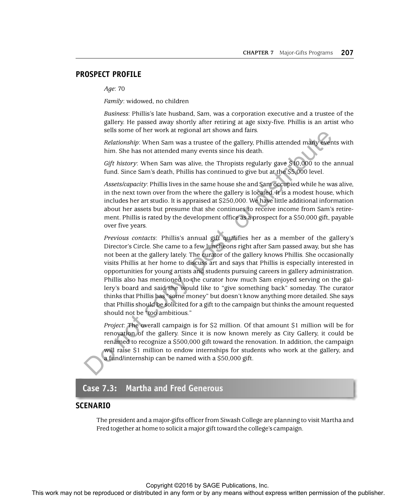#### **PROSPECT PROFILE**

*Age*: 70

*Family*: widowed, no children

*Business*: Phillis's late husband, Sam, was a corporation executive and a trustee of the gallery. He passed away shortly after retiring at age sixty-five. Phillis is an artist who sells some of her work at regional art shows and fairs.

*Relationship*: When Sam was a trustee of the gallery, Phillis attended many events with him. She has not attended many events since his death.

*Gift history*: When Sam was alive, the Thropists regularly gave \$10,000 to the annual fund. Since Sam's death, Phillis has continued to give but at the \$5,000 level.

*Assets/capacity*: Phillis lives in the same house she and Sam occupied while he was alive, in the next town over from the where the gallery is located. It is a modest house, which includes her art studio. It is appraised at \$250,000. We have little additional information about her assets but presume that she continues to receive income from Sam's retirement. Phillis is rated by the development office as a prospect for a \$50,000 gift, payable over five years.

*Previous contacts*: Phillis's annual gift qualifies her as a member of the gallery's Director's Circle. She came to a few luncheons right after Sam passed away, but she has not been at the gallery lately. The curator of the gallery knows Phillis. She occasionally visits Phillis at her home to discuss art and says that Phillis is especially interested in opportunities for young artists and students pursuing careers in gallery administration. Phillis also has mentioned to the curator how much Sam enjoyed serving on the gallery's board and said she would like to "give something back" someday. The curator thinks that Phillis has "some money" but doesn't know anything more detailed. She says that Phillis should be solicited for a gift to the campaign but thinks the amount requested should not be "too ambitious." State solution or the reproduced or the reproduced or distributed in any form or between states with the film Sheet based of the simulation of the based of the simulation of the publishers. We also contributed in any mean

*Project*: The overall campaign is for \$2 million. Of that amount \$1 million will be for renovation of the gallery. Since it is now known merely as City Gallery, it could be renamed to recognize a \$500,000 gift toward the renovation. In addition, the campaign will raise \$1 million to endow internships for students who work at the gallery, and a fund/internship can be named with a \$50,000 gift.

## **Case 7.3: Martha and Fred Generous**

#### **SCENARIO**

The president and a major-gifts officer from Siwash College are planning to visit Martha and Fred together at home to solicit a major gift toward the college's campaign.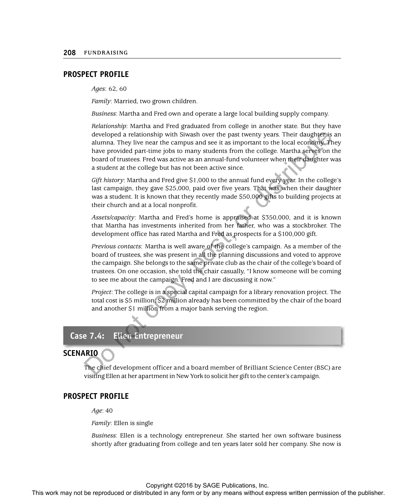#### **PROSPECT PROFILE**

*Ages*: 62, 60

*Family*: Married, two grown children.

*Business*: Martha and Fred own and operate a large local building supply company.

*Relationship*: Martha and Fred graduated from college in another state. But they have developed a relationship with Siwash over the past twenty years. Their daughter is an alumna. They live near the campus and see it as important to the local economy. They have provided part-time jobs to many students from the college. Martha serves on the board of trustees. Fred was active as an annual-fund volunteer when their daughter was a student at the college but has not been active since. decretion in the representation of the past vector the state or distributed in any form or be reproduced in any means when the college Marchan Control permission of the best of the taxe models permission of the publisher

*Gift history*: Martha and Fred give \$1,000 to the annual fund every year. In the college's last campaign, they gave \$25,000, paid over five years. That was when their daughter was a student. It is known that they recently made \$50,000 gifts to building projects at their church and at a local nonprofit.

*Assets/capacity*: Martha and Fred's home is appraised at \$350,000, and it is known that Martha has investments inherited from her father, who was a stockbroker. The development office has rated Martha and Fred as prospects for a \$100,000 gift.

*Previous contacts*: Martha is well aware of the college's campaign. As a member of the board of trustees, she was present in all the planning discussions and voted to approve the campaign. She belongs to the same private club as the chair of the college's board of trustees. On one occasion, she told the chair casually, "I know someone will be coming to see me about the campaign. Fred and I are discussing it now."

*Project*: The college is in a special capital campaign for a library renovation project. The total cost is \$5 million; \$2 million already has been committed by the chair of the board and another \$1 million from a major bank serving the region.

#### **Case 7.4: Ellen Entrepreneur**

## **SCENARIO**

The chief development officer and a board member of Brilliant Science Center (BSC) are visiting Ellen at her apartment in New York to solicit her gift to the center's campaign.

#### **PROSPECT PROFILE**

*Age*: 40

*Family*: Ellen is single

*Business*: Ellen is a technology entrepreneur. She started her own software business shortly after graduating from college and ten years later sold her company. She now is

Copyright ©2016 by SAGE Publications, Inc.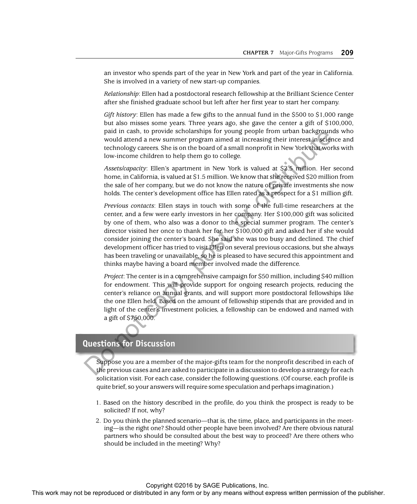an investor who spends part of the year in New York and part of the year in California. She is involved in a variety of new start-up companies.

*Relationship*: Ellen had a postdoctoral research fellowship at the Brilliant Science Center after she finished graduate school but left after her first year to start her company.

*Gift history*: Ellen has made a few gifts to the annual fund in the \$500 to \$1,000 range but also misses some years. Three years ago, she gave the center a gift of \$100,000, paid in cash, to provide scholarships for young people from urban backgrounds who would attend a new summer program aimed at increasing their interest in science and technology careers. She is on the board of a small nonprofit in New York that works with low-income children to help them go to college.

*Assets/capacity*: Ellen's apartment in New York is valued at \$2.5 million. Her second home, in California, is valued at \$1.5 million. We know that she received \$20 million from the sale of her company, but we do not know the nature of private investments she now holds. The center's development office has Ellen rated as a prospect for a \$1 million gift.

*Previous contacts*: Ellen stays in touch with some of the full-time researchers at the center, and a few were early investors in her company. Her \$100,000 gift was solicited by one of them, who also was a donor to the special summer program. The center's director visited her once to thank her for her \$100,000 gift and asked her if she would consider joining the center's board. She said she was too busy and declined. The chief development officer has tried to visit Ellen on several previous occasions, but she always has been traveling or unavailable, so he is pleased to have secured this appointment and thinks maybe having a board member involved made the difference. paid in case, the repression of the publishering or the reproduced in any form or by any means which are the reproduced in any form or by any means with the repression of the repression of the publisher of the publisher o

*Project*: The center is in a comprehensive campaign for \$50 million, including \$40 million for endowment. This will provide support for ongoing research projects, reducing the center's reliance on annual grants, and will support more postdoctoral fellowships like the one Ellen held. Based on the amount of fellowship stipends that are provided and in light of the center's investment policies, a fellowship can be endowed and named with a gift of \$750,000.

## **Questions for Discussion**

Suppose you are a member of the major-gifts team for the nonprofit described in each of the previous cases and are asked to participate in a discussion to develop a strategy for each solicitation visit. For each case, consider the following questions. (Of course, each profile is quite brief, so your answers will require some speculation and perhaps imagination.)

- 1. Based on the history described in the profile, do you think the prospect is ready to be solicited? If not, why?
- 2. Do you think the planned scenario—that is, the time, place, and participants in the meeting—is the right one? Should other people have been involved? Are there obvious natural partners who should be consulted about the best way to proceed? Are there others who should be included in the meeting? Why?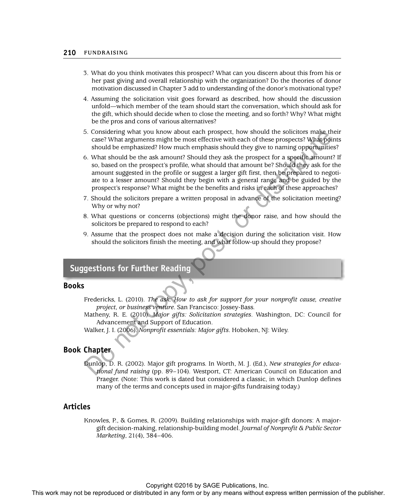- 3. What do you think motivates this prospect? What can you discern about this from his or her past giving and overall relationship with the organization? Do the theories of donor motivation discussed in Chapter 3 add to understanding of the donor's motivational type?
- 4. Assuming the solicitation visit goes forward as described, how should the discussion unfold—which member of the team should start the conversation, which should ask for the gift, which should decide when to close the meeting, and so forth? Why? What might be the pros and cons of various alternatives?
- 5. Considering what you know about each prospect, how should the solicitors make their case? What arguments might be most effective with each of these prospects? What points should be emphasized? How much emphasis should they give to naming opportunities?
- 6. What should be the ask amount? Should they ask the prospect for a specific amount? If so, based on the prospect's profile, what should that amount be? Should they ask for the amount suggested in the profile or suggest a larger gift first, then be prepared to negotiate to a lesser amount? Should they begin with a general range and be guided by the prospect's response? What might be the benefits and risks in each of these approaches? 5. Considering which are also because and the publisher and the selection angle and the reproduced or distributed in any form or by any means which are also selected in any form or by any means when  $\frac{1}{2}$  we also any
	- 7. Should the solicitors prepare a written proposal in advance of the solicitation meeting? Why or why not?
	- 8. What questions or concerns (objections) might the donor raise, and how should the solicitors be prepared to respond to each?
	- 9. Assume that the prospect does not make a decision during the solicitation visit. How should the solicitors finish the meeting, and what follow-up should they propose?

### **Suggestions for Further Reading**

#### **Books**

Fredericks, L. (2010). *The ask: How to ask for support for your nonprofit cause, creative project, or business venture*. San Francisco: Jossey-Bass.

Matheny, R. E. (2010). *Major gifts: Solicitation strategies*. Washington, DC: Council for Advancement and Support of Education.

Walker, J. I. (2006). *Nonprofit essentials: Major gifts*. Hoboken, NJ: Wiley.

#### **Book Chapter**

Dunlop, D. R. (2002). Major gift programs. In Worth, M. J. (Ed.), *New strategies for educational fund raising* (pp. 89–104). Westport, CT: American Council on Education and Praeger. (Note: This work is dated but considered a classic, in which Dunlop defines many of the terms and concepts used in major-gifts fundraising today.)

#### **Articles**

Knowles, P., & Gomes, R. (2009). Building relationships with major-gift donors: A majorgift decision-making, relationship-building model. *Journal of Nonprofit & Public Sector Marketing*, 21(4), 384–406.

Copyright ©2016 by SAGE Publications, Inc.